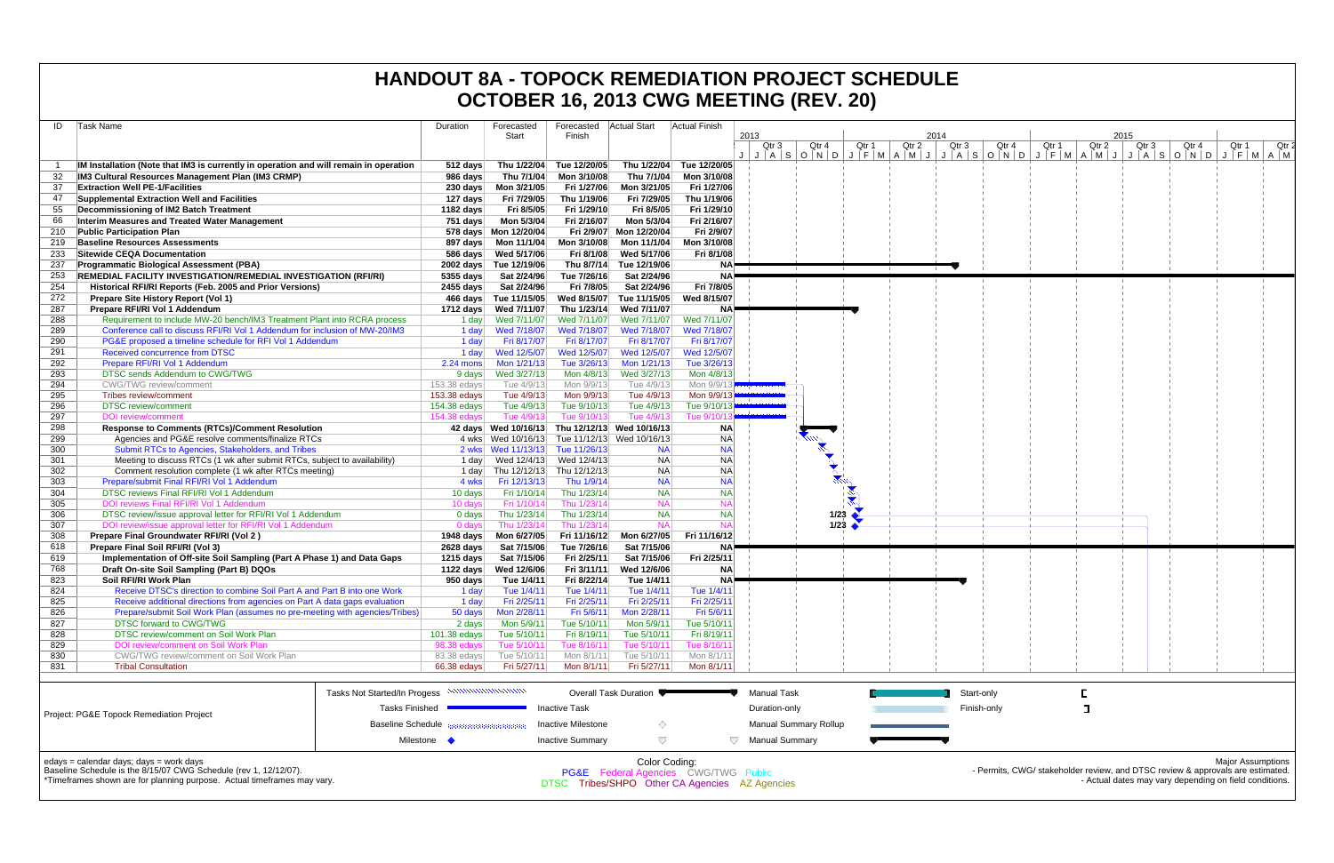|            |                                                                                                             |                   |                                              |                           |                                         |                                                                                                   | OCTOBER 16, 2013 CWG MEETING (REV. 20) |                |                                     |                |                |                                                                                                                                          |
|------------|-------------------------------------------------------------------------------------------------------------|-------------------|----------------------------------------------|---------------------------|-----------------------------------------|---------------------------------------------------------------------------------------------------|----------------------------------------|----------------|-------------------------------------|----------------|----------------|------------------------------------------------------------------------------------------------------------------------------------------|
| ID         | Task Name                                                                                                   | Duration          | Forecasted                                   | Forecasted                | <b>Actual Start</b>                     | Actual Finish                                                                                     |                                        |                |                                     |                |                |                                                                                                                                          |
|            |                                                                                                             |                   | Start                                        | Finish                    |                                         |                                                                                                   | 2013                                   |                | 2014                                |                | 2015           |                                                                                                                                          |
|            |                                                                                                             |                   |                                              |                           |                                         |                                                                                                   | Qtr 4<br>Qtr 3                         | Qtr 2<br>Qtr 1 | Qtr 4<br>Qtr 3                      | Qtr 1<br>Qtr 2 | Qtr 4<br>Qtr 3 | Qtr 1<br>Qtr 2                                                                                                                           |
|            | IM Installation (Note that IM3 is currently in operation and will remain in operation                       | 512 days          | Thu 1/22/04                                  | Tue 12/20/05              | Thu 1/22/04                             | Tue 12/20/05                                                                                      |                                        |                | JASONDJFMAMJJASONDJFMAMJJASONDJFMAM |                |                |                                                                                                                                          |
|            | IM3 Cultural Resources Management Plan (IM3 CRMP)                                                           | 986 days          | Thu 7/1/04                                   | Mon 3/10/08               | Thu 7/1/04                              | Mon 3/10/08                                                                                       |                                        |                |                                     |                |                |                                                                                                                                          |
| 37         | <b>Extraction Well PE-1/Facilities</b>                                                                      | 230 days          | Mon 3/21/05                                  | Fri 1/27/06               | Mon 3/21/05                             | Fri 1/27/06                                                                                       |                                        |                |                                     |                |                |                                                                                                                                          |
| 47         | <b>Supplemental Extraction Well and Facilities</b>                                                          | 127 days          | Fri 7/29/05                                  | Thu 1/19/06               | Fri 7/29/05                             | Thu 1/19/06                                                                                       |                                        |                |                                     |                |                |                                                                                                                                          |
| 55         | Decommissioning of IM2 Batch Treatment                                                                      | 1182 days         | Fri 8/5/05                                   | Fri 1/29/10               | Fri 8/5/05                              | Fri 1/29/10                                                                                       |                                        |                |                                     |                |                |                                                                                                                                          |
| 66         | Interim Measures and Treated Water Management                                                               | 751 days          | Mon 5/3/04                                   | Fri 2/16/07               | Mon 5/3/04                              | Fri 2/16/07                                                                                       |                                        |                |                                     |                |                |                                                                                                                                          |
| 210        | <b>Public Participation Plan</b>                                                                            |                   | 578 days Mon 12/20/04                        | Fri 2/9/07                | Mon 12/20/04                            | Fri 2/9/07                                                                                        |                                        |                |                                     |                |                |                                                                                                                                          |
| 219        | <b>Baseline Resources Assessments</b>                                                                       |                   |                                              | Mon 3/10/08               | Mon 11/1/04                             | Mon 3/10/08                                                                                       |                                        |                |                                     |                |                |                                                                                                                                          |
| 233        | <b>Sitewide CEQA Documentation</b>                                                                          | 586 days          | Wed 5/17/06                                  | Fri 8/1/08                | Wed 5/17/06                             | Fri 8/1/08                                                                                        |                                        |                |                                     |                |                |                                                                                                                                          |
| 237        | <b>Programmatic Biological Assessment (PBA)</b>                                                             |                   | 2002 days Tue 12/19/06                       | Thu 8/7/14                | Tue 12/19/06                            |                                                                                                   |                                        |                |                                     |                |                |                                                                                                                                          |
| 253        | REMEDIAL FACILITY INVESTIGATION/REMEDIAL INVESTIGATION (RFI/RI)                                             | $5355$ days       | Sat 2/24/96                                  | Tue 7/26/16               | Sat 2/24/96                             |                                                                                                   |                                        |                |                                     |                |                |                                                                                                                                          |
| 254        | Historical RFI/RI Reports (Feb. 2005 and Prior Versions)                                                    | 2455 days         | Sat 2/24/96                                  | Fri 7/8/05                | Sat 2/24/96                             | Fri 7/8/05                                                                                        |                                        |                |                                     |                |                |                                                                                                                                          |
| 272        | <b>Prepare Site History Report (Vol 1)</b>                                                                  |                   | 466 days Tue 11/15/05                        | Wed 8/15/07               | Tue 11/15/05                            | Wed 8/15/07                                                                                       |                                        |                |                                     |                |                |                                                                                                                                          |
| 287        | Prepare RFI/RI Vol 1 Addendum                                                                               | 1712 days         | Wed 7/11/07                                  | Thu 1/23/14               | Wed 7/11/07                             |                                                                                                   |                                        |                |                                     |                |                |                                                                                                                                          |
| 288        | Requirement to include MW-20 bench/IM3 Treatment Plant into RCRA process                                    | 1 day             | Wed 7/11/07                                  | Wed 7/11/07               | Wed 7/11/07                             | Wed 7/11/07                                                                                       |                                        |                |                                     |                |                |                                                                                                                                          |
| 289        | Conference call to discuss RFI/RI Vol 1 Addendum for inclusion of MW-20/IM3                                 | 1 day             | Wed 7/18/07                                  | Wed 7/18/07               | Wed 7/18/07                             | Wed 7/18/07                                                                                       |                                        |                |                                     |                |                |                                                                                                                                          |
| 290        | PG&E proposed a timeline schedule for RFI Vol 1 Addendum                                                    | 1 day             | Fri 8/17/07                                  | Fri 8/17/07               | Fri 8/17/07                             | Fri 8/17/07                                                                                       |                                        |                |                                     |                |                |                                                                                                                                          |
| 291        | Received concurrence from DTSC                                                                              | 1 day             | Wed 12/5/07                                  | Wed 12/5/07               | Wed 12/5/07                             | Wed 12/5/07                                                                                       |                                        |                |                                     |                |                |                                                                                                                                          |
| 292        | Prepare RFI/RI Vol 1 Addendum                                                                               | $2.24$ mons       | Mon 1/21/13                                  | Tue 3/26/13               | Mon 1/21/13                             | Tue 3/26/13                                                                                       |                                        |                |                                     |                |                |                                                                                                                                          |
| 293        | DTSC sends Addendum to CWG/TWG                                                                              | 9 days            | Wed 3/27/13                                  | Mon 4/8/13                | Wed 3/27/13                             | Mon 4/8/13                                                                                        |                                        |                |                                     |                |                |                                                                                                                                          |
| 294        | <b>CWG/TWG</b> review/comment                                                                               | 153.38 edays      | Tue 4/9/13                                   | Mon 9/9/13                | Tue 4/9/13                              | Mon 9/9/1                                                                                         |                                        |                |                                     |                |                |                                                                                                                                          |
| 295        | Tribes review/comment                                                                                       | 153.38 edays      | Tue 4/9/13                                   | Mon 9/9/13                | Tue 4/9/13<br>Tue 4/9/13                | Mon 9/9/13<br>Tue 9/10/13                                                                         |                                        |                |                                     |                |                |                                                                                                                                          |
| 296        | <b>DTSC</b> review/comment<br><b>DOI</b> review/comment                                                     | 154.38 edays      | Tue 4/9/13                                   | Tue 9/10/13               |                                         |                                                                                                   |                                        |                |                                     |                |                |                                                                                                                                          |
| 297<br>298 | <b>Response to Comments (RTCs)/Comment Resolution</b>                                                       | 154.38 edays      | Tue 4/9/13<br>42 days Wed 10/16/13           | Tue 9/10/13               | Tue 4/9/13<br>Thu 12/12/13 Wed 10/16/13 | Tue 9/10/<br><b>NA</b>                                                                            |                                        |                |                                     |                |                |                                                                                                                                          |
| 299        | Agencies and PG&E resolve comments/finalize RTCs                                                            |                   | 4 wks Wed 10/16/13 Tue 11/12/13 Wed 10/16/13 |                           |                                         | <b>NA</b>                                                                                         |                                        |                |                                     |                |                |                                                                                                                                          |
| 300        | Submit RTCs to Agencies, Stakeholders, and Tribes                                                           |                   | 2 wks Wed 11/13/13                           | Tue 11/26/13              | <b>NA</b>                               | <b>NA</b>                                                                                         |                                        |                |                                     |                |                |                                                                                                                                          |
| 301        | Meeting to discuss RTCs (1 wk after submit RTCs, subject to availability)                                   | 1 day             |                                              | Wed 12/4/13 Wed 12/4/13   | <b>NA</b>                               | <b>NA</b>                                                                                         |                                        |                |                                     |                |                |                                                                                                                                          |
| 302        | Comment resolution complete (1 wk after RTCs meeting)                                                       |                   | 1 day Thu 12/12/13 Thu 12/12/13              |                           | <b>NA</b>                               | <b>NA</b>                                                                                         |                                        |                |                                     |                |                |                                                                                                                                          |
| 303        | Prepare/submit Final RFI/RI Vol 1 Addendum                                                                  | 4 wks             | Fri 12/13/13                                 | Thu 1/9/14                | <b>NA</b>                               | <b>NA</b>                                                                                         |                                        |                |                                     |                |                |                                                                                                                                          |
| 304        | DTSC reviews Final RFI/RI Vol 1 Addendum                                                                    | 10 days           | Fri 1/10/14                                  | Thu 1/23/14               | <b>NA</b>                               | <b>NA</b>                                                                                         |                                        |                |                                     |                |                |                                                                                                                                          |
| 305        | DOI reviews Final RFI/RI Vol 1 Addendum                                                                     | 10 days           | Fri 1/10/14                                  | Thu 1/23/14               | <b>NA</b>                               |                                                                                                   |                                        |                |                                     |                |                |                                                                                                                                          |
| 306        | DTSC review/issue approval letter for RFI/RI Vol 1 Addendum                                                 | $0$ days          | Thu 1/23/14                                  | Thu 1/23/14               | <b>NA</b>                               | <b>NA</b>                                                                                         | 1/23                                   |                |                                     |                |                |                                                                                                                                          |
| 307        | DOI review/issue approval letter for RFI/RI Vol 1 Addendum                                                  | 0 days            | Thu 1/23/14                                  | Thu 1/23/14               | <b>NA</b>                               |                                                                                                   | 1/23                                   |                |                                     |                |                |                                                                                                                                          |
| 308        | Prepare Final Groundwater RFI/RI (Vol 2)                                                                    | 1948 days         | Mon 6/27/05                                  | Fri 11/16/12              | Mon 6/27/05                             | Fri 11/16/12                                                                                      |                                        |                |                                     |                |                |                                                                                                                                          |
| 618        | Prepare Final Soil RFI/RI (Vol 3)                                                                           | 2628 days         | Sat 7/15/06                                  | Tue 7/26/16               | Sat 7/15/06                             | <b>NA</b>                                                                                         |                                        |                |                                     |                |                |                                                                                                                                          |
| 619        | Implementation of Off-site Soil Sampling (Part A Phase 1) and Data Gaps                                     | 1215 days         | Sat 7/15/06                                  | Fri 2/25/11               | Sat 7/15/06                             | Fri 2/25/11                                                                                       |                                        |                |                                     |                |                |                                                                                                                                          |
| 768<br>823 | Draft On-site Soil Sampling (Part B) DQOs                                                                   |                   |                                              | Fri 3/11/11               | Wed 12/6/06                             | <b>NA</b>                                                                                         |                                        |                |                                     |                |                |                                                                                                                                          |
| 824        | Soil RFI/RI Work Plan<br>Receive DTSC's direction to combine Soil Part A and Part B into one Work           | 950 days<br>1 day | Tue 1/4/11<br>Tue 1/4/11                     | Fri 8/22/14<br>Tue 1/4/11 | Tue 1/4/11<br>Tue 1/4/11                | NAI<br>Tue 1/4/11                                                                                 |                                        |                |                                     |                |                |                                                                                                                                          |
| 825        | Receive additional directions from agencies on Part A data gaps evaluation                                  | 1 day             | Fri 2/25/11                                  | Fri 2/25/11               | Fri 2/25/11                             | Fri 2/25/1                                                                                        |                                        |                |                                     |                |                |                                                                                                                                          |
| 826        | Prepare/submit Soil Work Plan (assumes no pre-meeting with agencies/Tribes)                                 | 50 days           | Mon 2/28/11                                  | Fri 5/6/11                | Mon 2/28/11                             | Fri 5/6/11                                                                                        |                                        |                |                                     |                |                |                                                                                                                                          |
| 827        | <b>DTSC forward to CWG/TWG</b>                                                                              | 2 days            | Mon 5/9/11                                   | Tue 5/10/11               | Mon 5/9/11                              | Tue 5/10/11                                                                                       |                                        |                |                                     |                |                |                                                                                                                                          |
| 828        | DTSC review/comment on Soil Work Plan                                                                       | 101.38 edays      | Tue 5/10/11                                  | Fri 8/19/11               | Tue 5/10/11                             | Fri 8/19/1                                                                                        |                                        |                |                                     |                |                |                                                                                                                                          |
| 829        | <b>DOI review/comment on Soil Work Plan</b>                                                                 | 98.38 edays       | Tue 5/10/11                                  | Tue 8/16/11               | Tue 5/10/11                             | Tue 8/16/1                                                                                        |                                        |                |                                     |                |                |                                                                                                                                          |
| 830        | CWG/TWG review/comment on Soil Work Plan                                                                    | 83.38 edays       | Tue 5/10/11                                  | Mon 8/1/11                | Tue 5/10/11                             | Mon 8/1/11                                                                                        |                                        |                |                                     |                |                |                                                                                                                                          |
| 831        | <b>Tribal Consultation</b>                                                                                  | 66.38 edays       | Fri 5/27/11                                  | Mon 8/1/11                | Fri 5/27/11                             | Mon 8/1/11                                                                                        |                                        |                |                                     |                |                |                                                                                                                                          |
|            |                                                                                                             |                   |                                              |                           |                                         |                                                                                                   |                                        |                |                                     |                |                |                                                                                                                                          |
|            | Tasks Not Started/In Progess                                                                                |                   |                                              |                           | Overall Task Duration                   |                                                                                                   | Manual Task                            |                | Start-only                          |                |                |                                                                                                                                          |
|            | <b>Tasks Finished</b>                                                                                       |                   |                                              | <b>Inactive Task</b>      |                                         |                                                                                                   | Duration-only                          |                | Finish-only                         | п              |                |                                                                                                                                          |
|            | Project: PG&E Topock Remediation Project<br><b>Baseline Schedule</b>                                        |                   |                                              | <b>Inactive Milestone</b> | $\Diamond$                              |                                                                                                   | Manual Summary Rollup                  |                |                                     |                |                |                                                                                                                                          |
|            |                                                                                                             | Milestone •       |                                              | <b>Inactive Summary</b>   | $\bigtriangledown$                      |                                                                                                   | Manual Summary                         |                |                                     |                |                |                                                                                                                                          |
|            |                                                                                                             |                   |                                              |                           |                                         |                                                                                                   |                                        |                |                                     |                |                |                                                                                                                                          |
|            | edays = calendar days; days = work days<br>Baseline Schedule is the 8/15/07 CWG Schedule (rev 1, 12/12/07). |                   |                                              |                           | Color Coding:                           |                                                                                                   |                                        |                |                                     |                |                | <b>Major Assumptions</b>                                                                                                                 |
|            | *Timeframes shown are for planning purpose. Actual timeframes may vary.                                     |                   |                                              |                           |                                         | <b>PG&amp;E</b> Federal Agencies CWG/TWG Public<br>DTSC Tribes/SHPO Other CA Agencies AZ Agencies |                                        |                |                                     |                |                | - Permits, CWG/ stakeholder review, and DTSC review & approvals are estimated.<br>- Actual dates may vary depending on field conditions. |

|                                                                                                                                                                                        | mmmmmmmmmm<br><b>Tasks Not Started/In Progess</b>    | Overall Task Duration                                                                             |               | Manual Task                  |  | Start- |
|----------------------------------------------------------------------------------------------------------------------------------------------------------------------------------------|------------------------------------------------------|---------------------------------------------------------------------------------------------------|---------------|------------------------------|--|--------|
| Project: PG&E Topock Remediation Project                                                                                                                                               | <b>Tasks Finished</b>                                | Inactive Task                                                                                     |               | Duration-only                |  | Finish |
|                                                                                                                                                                                        | <b>Baseline Schedule Bassue Constantine Baseline</b> | Inactive Milestone                                                                                |               | <b>Manual Summary Rollup</b> |  |        |
|                                                                                                                                                                                        | Milestone                                            | <b>Inactive Summary</b>                                                                           |               | <b>Manual Summary</b>        |  |        |
| edays = calendar days; days = work days<br>Baseline Schedule is the 8/15/07 CWG Schedule (rev 1, 12/12/07).<br>*Timeframes shown are for planning purpose. Actual timeframes may vary. |                                                      | <b>PG&amp;E</b> Federal Agencies CWG/TWG Public<br>DTSC Tribes/SHPO Other CA Agencies AZ Agencies | Color Coding: |                              |  | - P    |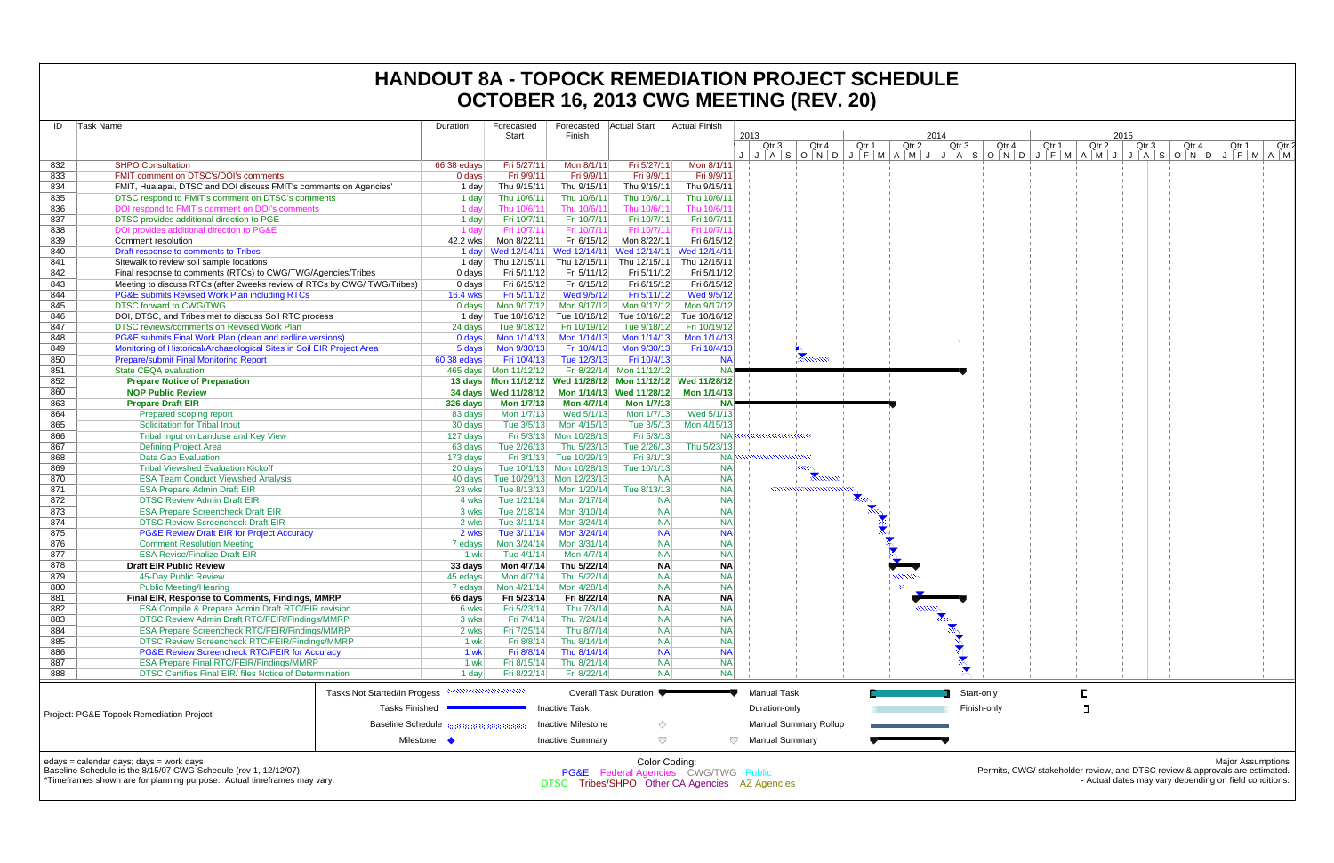| Task Name<br>ID |                                                                                                                                     |                              | Duration                  | Forecasted                                   | Forecasted<br>Finish       | <b>Actual Start</b>        | Actual Finish                                               | 2013                  |                              |       |          | 2014 |                  |       |       |       | 2015  |                                                                                                                                               |                          |       |
|-----------------|-------------------------------------------------------------------------------------------------------------------------------------|------------------------------|---------------------------|----------------------------------------------|----------------------------|----------------------------|-------------------------------------------------------------|-----------------------|------------------------------|-------|----------|------|------------------|-------|-------|-------|-------|-----------------------------------------------------------------------------------------------------------------------------------------------|--------------------------|-------|
|                 |                                                                                                                                     |                              |                           | Start                                        |                            |                            |                                                             | Qtr 3                 | Qtr 4                        | Qtr 1 | Qtr 2    |      | Qtr <sub>3</sub> | Qtr 4 | Qtr 1 | Qtr 2 | Qtr 3 | Qtr 4                                                                                                                                         | Qtr 1                    | Qtr 2 |
| 832             | <b>SHPO Consultation</b>                                                                                                            |                              | 66.38 edays               | Fri 5/27/11                                  | Mon 8/1/11                 | Fri 5/27/11                | Mon 8/1/11                                                  |                       |                              |       |          |      |                  |       |       |       |       | J   J   A   S   O   N   D   J   F   M   A   M   J   J   A   S   O   N   D   J   F   M   A   M   J   J   A   S   O   N   D   J   F   M   A   M |                          |       |
| 833             | FMIT comment on DTSC's/DOI's comments                                                                                               |                              | 0 days                    | Fri 9/9/11                                   | Fri 9/9/11                 | Fri 9/9/11                 | Fri 9/9/11                                                  |                       |                              |       |          |      |                  |       |       |       |       |                                                                                                                                               |                          |       |
| 834             | FMIT, Hualapai, DTSC and DOI discuss FMIT's comments on Agencies'                                                                   |                              | 1 day                     | Thu 9/15/11                                  | Thu 9/15/11                | Thu 9/15/11                | Thu 9/15/11                                                 |                       |                              |       |          |      |                  |       |       |       |       |                                                                                                                                               |                          |       |
| 835             | DTSC respond to FMIT's comment on DTSC's comments                                                                                   |                              | 1 day                     | Thu 10/6/11                                  | Thu 10/6/11                | Thu 10/6/11                | Thu 10/6/11                                                 |                       |                              |       |          |      |                  |       |       |       |       |                                                                                                                                               |                          |       |
| 836             | DOI respond to FMIT's comment on DOI's comments                                                                                     |                              | 1 day                     | Thu 10/6/11                                  | Thu 10/6/11                | Thu 10/6/11                | Thu 10/6/1                                                  |                       |                              |       |          |      |                  |       |       |       |       |                                                                                                                                               |                          |       |
| 837             | DTSC provides additional direction to PGE                                                                                           |                              | 1 day                     | Fri 10/7/11                                  | Fri 10/7/11                | Fri 10/7/11                | Fri 10/7/11                                                 |                       |                              |       |          |      |                  |       |       |       |       |                                                                                                                                               |                          |       |
| 838             | DOI provides additional direction to PG&E                                                                                           |                              | 1 dav                     | Fri 10/7/11                                  | Fri 10/7/11                | Fri 10/7/11                | Fri 10/7/1                                                  |                       |                              |       |          |      |                  |       |       |       |       |                                                                                                                                               |                          |       |
| 839             | Comment resolution                                                                                                                  |                              | 42.2 wks                  | Mon 8/22/11                                  | Fri 6/15/12                | Mon 8/22/11                | Fri 6/15/12                                                 |                       |                              |       |          |      |                  |       |       |       |       |                                                                                                                                               |                          |       |
| 840             | Draft response to comments to Tribes                                                                                                |                              |                           | 1 day Wed 12/14/11 Wed 12/14/11 Wed 12/14/11 |                            |                            | Wed 12/14/1                                                 |                       |                              |       |          |      |                  |       |       |       |       |                                                                                                                                               |                          |       |
| 841             | Sitewalk to review soil sample locations                                                                                            |                              | 1 day                     | Thu 12/15/11                                 | Thu 12/15/11               | Thu 12/15/11               | Thu 12/15/11                                                |                       |                              |       |          |      |                  |       |       |       |       |                                                                                                                                               |                          |       |
| 842             | Final response to comments (RTCs) to CWG/TWG/Agencies/Tribes                                                                        |                              | 0 days                    | Fri 5/11/12                                  | Fri 5/11/12                | Fri 5/11/12                | Fri 5/11/12                                                 |                       |                              |       |          |      |                  |       |       |       |       |                                                                                                                                               |                          |       |
| 843<br>844      | Meeting to discuss RTCs (after 2weeks review of RTCs by CWG/TWG/Tribes)<br><b>PG&amp;E submits Revised Work Plan including RTCs</b> |                              | 0 days<br><b>16.4 wks</b> | Fri 6/15/12<br>Fri 5/11/12                   | Fri 6/15/12<br>Wed 9/5/12  | Fri 6/15/12<br>Fri 5/11/12 | Fri 6/15/12<br>Wed 9/5/12                                   |                       |                              |       |          |      |                  |       |       |       |       |                                                                                                                                               |                          |       |
| 845             | <b>DTSC forward to CWG/TWG</b>                                                                                                      |                              | 0 days                    | Mon 9/17/12                                  | Mon 9/17/12                | Mon 9/17/12                | Mon 9/17/12                                                 |                       |                              |       |          |      |                  |       |       |       |       |                                                                                                                                               |                          |       |
| 846             | DOI, DTSC, and Tribes met to discuss Soil RTC process                                                                               |                              | 1 day                     |                                              | Tue 10/16/12 Tue 10/16/12  |                            | Tue 10/16/12 Tue 10/16/12                                   |                       |                              |       |          |      |                  |       |       |       |       |                                                                                                                                               |                          |       |
| 847             | DTSC reviews/comments on Revised Work Plan                                                                                          |                              | 24 days                   | Tue 9/18/12                                  | Fri 10/19/12               | Tue 9/18/12                | Fri 10/19/12                                                |                       |                              |       |          |      |                  |       |       |       |       |                                                                                                                                               |                          |       |
| 848             | PG&E submits Final Work Plan (clean and redline versions)                                                                           |                              | 0 days                    | Mon 1/14/13                                  | Mon 1/14/13                | Mon 1/14/13                | Mon 1/14/13                                                 |                       |                              |       |          |      |                  |       |       |       |       |                                                                                                                                               |                          |       |
| 849             | Monitoring of Historical/Archaeological Sites in Soil EIR Project Area                                                              |                              | 5 days                    | Mon 9/30/13                                  | Fri 10/4/13                | Mon 9/30/13                | Fri 10/4/13                                                 |                       |                              |       |          |      |                  |       |       |       |       |                                                                                                                                               |                          |       |
| 850             | <b>Prepare/submit Final Monitoring Report</b>                                                                                       |                              | 60.38 edays               | Fri 10/4/13                                  | Tue 12/3/13                | Fri 10/4/13                | <b>NA</b>                                                   |                       | <b>Rumme</b>                 |       |          |      |                  |       |       |       |       |                                                                                                                                               |                          |       |
| 851             | <b>State CEQA evaluation</b>                                                                                                        |                              |                           |                                              |                            | Fri 8/22/14 Mon 11/12/12   |                                                             |                       |                              |       |          |      |                  |       |       |       |       |                                                                                                                                               |                          |       |
| 852             | <b>Prepare Notice of Preparation</b>                                                                                                |                              |                           |                                              |                            |                            | 13 days Mon 11/12/12 Wed 11/28/12 Mon 11/12/12 Wed 11/28/12 |                       |                              |       |          |      |                  |       |       |       |       |                                                                                                                                               |                          |       |
| 860             | <b>NOP Public Review</b>                                                                                                            |                              |                           |                                              |                            | Mon 1/14/13 Wed 11/28/12   | Mon 1/14/13                                                 |                       |                              |       |          |      |                  |       |       |       |       |                                                                                                                                               |                          |       |
| 863             | <b>Prepare Draft EIR</b>                                                                                                            |                              | 326 days                  | <b>Mon 1/7/13</b>                            | <b>Mon 4/7/14</b>          | <b>Mon 1/7/13</b>          |                                                             |                       |                              |       |          |      |                  |       |       |       |       |                                                                                                                                               |                          |       |
| 864             | Prepared scoping report                                                                                                             |                              | 83 days                   | Mon 1/7/13                                   | Wed 5/1/13                 | Mon 1/7/13                 | Wed 5/1/13                                                  |                       |                              |       |          |      |                  |       |       |       |       |                                                                                                                                               |                          |       |
| 865             | <b>Solicitation for Tribal Input</b>                                                                                                |                              | 30 days                   | Tue 3/5/13                                   | Mon 4/15/13                | Tue 3/5/13                 | Mon 4/15/13                                                 |                       |                              |       |          |      |                  |       |       |       |       |                                                                                                                                               |                          |       |
| 866             | Tribal Input on Landuse and Key View                                                                                                |                              | 127 days                  |                                              | Fri 5/3/13 Mon 10/28/13    | Fri 5/3/13                 | NAl                                                         |                       |                              |       |          |      |                  |       |       |       |       |                                                                                                                                               |                          |       |
| 867             | <b>Defining Project Area</b>                                                                                                        |                              | 63 days                   | Tue 2/26/13                                  | Thu 5/23/13                | Tue 2/26/13                | Thu 5/23/13                                                 |                       |                              |       |          |      |                  |       |       |       |       |                                                                                                                                               |                          |       |
| 868             | <b>Data Gap Evaluation</b>                                                                                                          |                              | 173 days                  | Fri 3/1/13                                   | Tue 10/29/13               | Fri 3/1/13                 | <b>NAK</b>                                                  |                       |                              |       |          |      |                  |       |       |       |       |                                                                                                                                               |                          |       |
| 869             | <b>Tribal Viewshed Evaluation Kickoff</b>                                                                                           |                              | 20 days                   |                                              | Tue 10/1/13 Mon 10/28/13   | Tue 10/1/13                | <b>NA</b>                                                   |                       | mm                           |       |          |      |                  |       |       |       |       |                                                                                                                                               |                          |       |
| 870             | <b>ESA Team Conduct Viewshed Analysis</b>                                                                                           |                              | 40 days                   |                                              | Tue 10/29/13 Mon 12/23/13  | <b>NA</b>                  | <b>NA</b>                                                   |                       |                              |       |          |      |                  |       |       |       |       |                                                                                                                                               |                          |       |
| 871             | <b>ESA Prepare Admin Draft EIR</b>                                                                                                  |                              | 23 wks                    | Tue 8/13/13                                  | Mon 1/20/14                | Tue 8/13/13                | <b>NA</b>                                                   |                       |                              |       |          |      |                  |       |       |       |       |                                                                                                                                               |                          |       |
| 872<br>873      | <b>DTSC Review Admin Draft EIR</b><br><b>ESA Prepare Screencheck Draft EIR</b>                                                      |                              | 4 wksl                    | Tue 1/21/14                                  | Mon 2/17/14<br>Mon 3/10/14 | <b>NA</b><br><b>NA</b>     | <b>NA</b><br><b>NA</b>                                      |                       |                              |       |          |      |                  |       |       |       |       |                                                                                                                                               |                          |       |
| 874             | <b>DTSC Review Screencheck Draft EIR</b>                                                                                            |                              | 3 wks<br>2 wks            | Tue 2/18/14<br>Tue 3/11/14                   | Mon 3/24/14                | <b>NA</b>                  | <b>NA</b>                                                   |                       |                              |       |          |      |                  |       |       |       |       |                                                                                                                                               |                          |       |
| 875             | <b>PG&amp;E Review Draft EIR for Project Accuracy</b>                                                                               |                              | 2 wks                     |                                              | Tue 3/11/14 Mon 3/24/14    | <b>NA</b>                  | <b>NA</b>                                                   |                       |                              |       |          |      |                  |       |       |       |       |                                                                                                                                               |                          |       |
| 876             | <b>Comment Resolution Meeting</b>                                                                                                   |                              | 7 edays                   |                                              | Mon 3/24/14 Mon 3/31/14    | <b>NA</b>                  | <b>NA</b>                                                   |                       |                              |       |          |      |                  |       |       |       |       |                                                                                                                                               |                          |       |
| 877             | <b>ESA Revise/Finalize Draft EIR</b>                                                                                                |                              | 1 wk                      | Tue 4/1/14                                   | Mon 4/7/14                 | <b>NA</b>                  | <b>NA</b>                                                   |                       |                              |       |          |      |                  |       |       |       |       |                                                                                                                                               |                          |       |
| 878             | <b>Draft EIR Public Review</b>                                                                                                      |                              | 33 days                   | Mon 4/7/14                                   | Thu 5/22/14                | <b>NA</b>                  | <b>NA</b>                                                   |                       |                              |       |          |      |                  |       |       |       |       |                                                                                                                                               |                          |       |
| 879             | 45-Day Public Review                                                                                                                |                              | 45 edays                  | Mon 4/7/14                                   | Thu 5/22/14                | <b>NA</b>                  | <b>NA</b>                                                   |                       |                              |       | 1,000000 |      |                  |       |       |       |       |                                                                                                                                               |                          |       |
| 880             | <b>Public Meeting/Hearing</b>                                                                                                       |                              | 7 edays                   |                                              | Mon 4/21/14 Mon 4/28/14    | <b>NA</b>                  | <b>NA</b>                                                   |                       |                              |       |          |      |                  |       |       |       |       |                                                                                                                                               |                          |       |
| 881             | Final EIR, Response to Comments, Findings, MMRP                                                                                     |                              | 66 days                   | Fri 5/23/14                                  | Fri 8/22/14                | <b>NA</b>                  | <b>NA</b>                                                   |                       |                              |       |          |      |                  |       |       |       |       |                                                                                                                                               |                          |       |
| 882             | ESA Compile & Prepare Admin Draft RTC/EIR revision                                                                                  |                              | 6 wks                     | Fri 5/23/14                                  | Thu 7/3/14                 | <b>NA</b>                  | <b>NA</b>                                                   |                       |                              |       |          |      |                  |       |       |       |       |                                                                                                                                               |                          |       |
| 883             | DTSC Review Admin Draft RTC/FEIR/Findings/MMRP                                                                                      |                              | 3 wks                     | Fri 7/4/14                                   | Thu 7/24/14                | <b>NA</b>                  | <b>NA</b>                                                   |                       |                              |       |          |      |                  |       |       |       |       |                                                                                                                                               |                          |       |
| 884             | ESA Prepare Screencheck RTC/FEIR/Findings/MMRP                                                                                      |                              | 2 wks                     | Fri 7/25/14                                  | Thu 8/7/14                 | <b>NA</b>                  | <b>NA</b>                                                   |                       |                              |       |          |      |                  |       |       |       |       |                                                                                                                                               |                          |       |
| 885             | DTSC Review Screencheck RTC/FEIR/Findings/MMRP                                                                                      |                              | 1 wk                      | Fri 8/8/14                                   | Thu 8/14/14                | <b>NA</b>                  | <b>NA</b>                                                   |                       |                              |       |          |      |                  |       |       |       |       |                                                                                                                                               |                          |       |
| 886             | PG&E Review Screencheck RTC/FEIR for Accuracy                                                                                       |                              | 1 wk                      | Fri 8/8/14                                   | Thu 8/14/14                | <b>NA</b>                  | <b>NA</b>                                                   |                       |                              |       |          |      |                  |       |       |       |       |                                                                                                                                               |                          |       |
| 887             | <b>ESA Prepare Final RTC/FEIR/Findings/MMRP</b>                                                                                     |                              | 1 wk                      | Fri 8/15/14                                  | Thu 8/21/14                | <b>NA</b>                  | <b>NA</b>                                                   |                       |                              |       |          |      | →                |       |       |       |       |                                                                                                                                               |                          |       |
| 888             | DTSC Certifies Final EIR/ files Notice of Determination                                                                             |                              | 1 day                     | Fri 8/22/14                                  | Fri 8/22/14                | <b>NA</b>                  | <b>NA</b>                                                   |                       |                              |       |          |      |                  |       |       |       |       |                                                                                                                                               |                          |       |
|                 |                                                                                                                                     | Tasks Not Started/In Progess |                           |                                              |                            | Overall Task Duration ♥    |                                                             | <b>Manual Task</b>    |                              |       |          |      | Start-only       |       |       |       |       |                                                                                                                                               |                          |       |
|                 |                                                                                                                                     |                              |                           |                                              |                            |                            |                                                             |                       |                              |       |          |      |                  |       |       |       |       |                                                                                                                                               |                          |       |
|                 | Project: PG&E Topock Remediation Project                                                                                            | <b>Tasks Finished</b>        |                           |                                              | <b>Inactive Task</b>       |                            |                                                             | Duration-only         |                              |       |          |      | Finish-only      |       |       |       |       |                                                                                                                                               |                          |       |
|                 |                                                                                                                                     | <b>Baseline Schedule</b>     |                           |                                              | <b>Inactive Milestone</b>  | ◇                          |                                                             |                       | <b>Manual Summary Rollup</b> |       |          |      |                  |       |       |       |       |                                                                                                                                               |                          |       |
|                 |                                                                                                                                     | Milestone •                  |                           |                                              | <b>Inactive Summary</b>    | $\bigtriangledown$         | $\bigtriangledown$                                          | <b>Manual Summary</b> |                              |       |          |      |                  |       |       |       |       |                                                                                                                                               |                          |       |
|                 |                                                                                                                                     |                              |                           |                                              |                            |                            |                                                             |                       |                              |       |          |      |                  |       |       |       |       |                                                                                                                                               |                          |       |
|                 | edays = calendar days; days = work days                                                                                             |                              |                           |                                              |                            | Color Coding:              |                                                             |                       |                              |       |          |      |                  |       |       |       |       |                                                                                                                                               | <b>Major Assumptions</b> |       |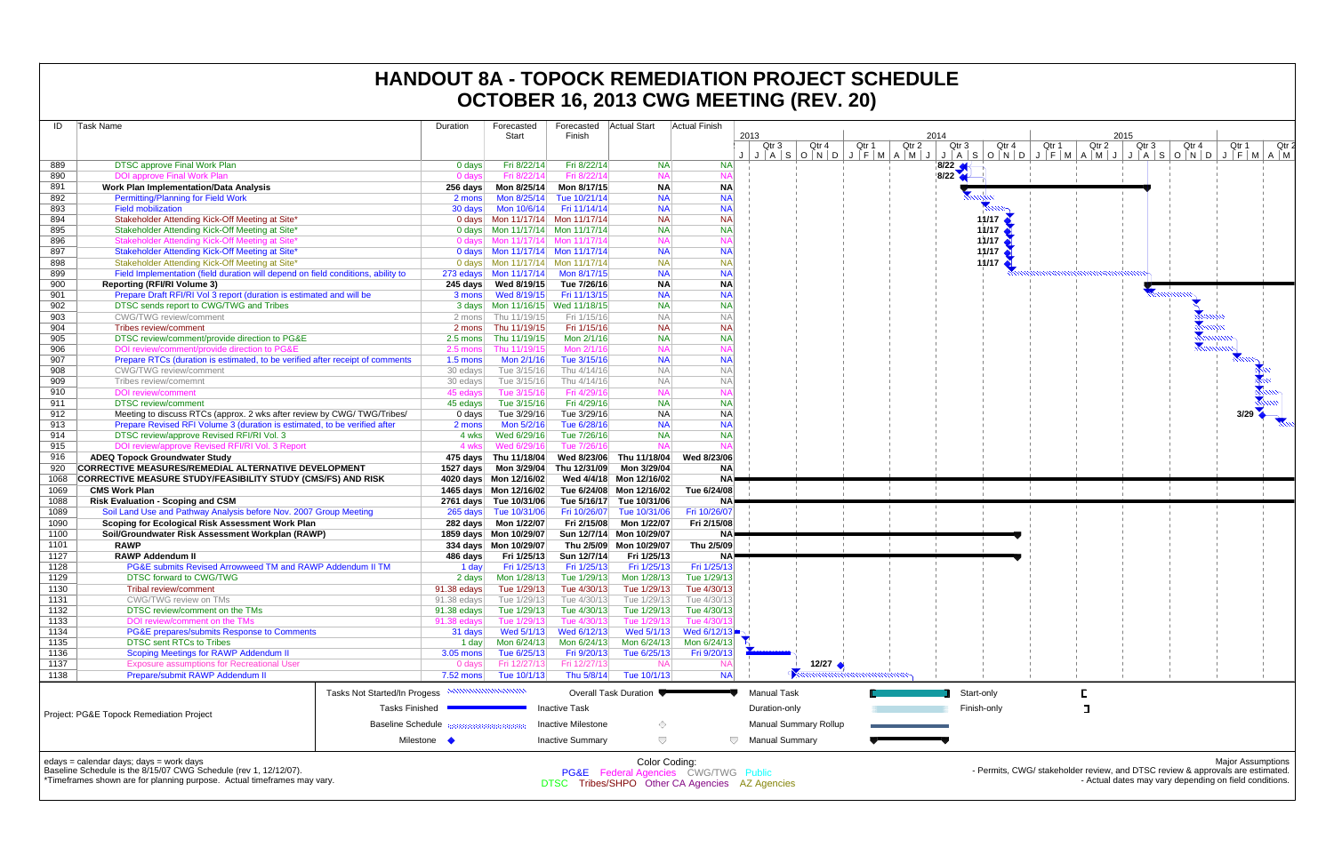| ID           | Task Name                                                                            | Duration                   | Forecasted<br>Start              | Forecasted<br>Finish        | Actual Start                           | <b>Actual Finish</b>                            | 2013                                           | 2014           | 2015                                    |
|--------------|--------------------------------------------------------------------------------------|----------------------------|----------------------------------|-----------------------------|----------------------------------------|-------------------------------------------------|------------------------------------------------|----------------|-----------------------------------------|
|              |                                                                                      |                            |                                  |                             |                                        |                                                 | Qtr 1<br>Qtr 2<br>Qtr 3<br>Qtr 4               | Qtr 3<br>Qtr 4 | Qtr 1<br>Qtr 2                          |
| 889          | DTSC approve Final Work Plan                                                         | 0 days                     | Fri 8/22/14                      | Fri 8/22/14                 | <b>NA</b>                              | <b>NA</b>                                       | JASONOJFMAMJJASONOJFMAMJJ                      | $\sqrt{8/22}$  |                                         |
| 890          | <b>DOI approve Final Work Plan</b>                                                   | 0 days                     | Fri 8/22/14                      | Fri 8/22/14                 | <b>NA</b>                              | <b>NA</b>                                       |                                                | 8/22           |                                         |
| 891          | <b>Work Plan Implementation/Data Analysis</b>                                        | 256 days                   | Mon 8/25/14                      | Mon 8/17/15                 | <b>NA</b>                              | <b>NA</b>                                       |                                                |                |                                         |
| 892          | <b>Permitting/Planning for Field Work</b>                                            | 2 mons                     | Mon 8/25/14                      | Tue 10/21/14                | <b>NA</b>                              | <b>NA</b>                                       |                                                |                |                                         |
| 893          | <b>Field mobilization</b>                                                            | 30 days                    | Mon 10/6/14                      | Fri 11/14/14                | <b>NA</b>                              | <b>NA</b>                                       |                                                |                |                                         |
| 894          | Stakeholder Attending Kick-Off Meeting at Site*                                      |                            | 0 days Mon 11/17/14 Mon 11/17/14 |                             | <b>NA</b>                              | <b>NA</b>                                       |                                                | 11/17          |                                         |
| 895          | Stakeholder Attending Kick-Off Meeting at Site*                                      |                            |                                  |                             | <b>NA</b>                              | <b>NA</b>                                       |                                                | 11/17          |                                         |
| 896          | Stakeholder Attending Kick-Off Meeting at Site'                                      |                            | 0 days Mon 11/17/14 Mon 11/17/14 |                             | <b>NA</b>                              | <b>NA</b>                                       |                                                | 11/17          |                                         |
| 897          | Stakeholder Attending Kick-Off Meeting at Site*                                      |                            |                                  |                             | <b>NA</b>                              | <b>NA</b>                                       |                                                | 11/17          |                                         |
| 898          | Stakeholder Attending Kick-Off Meeting at Site*                                      |                            |                                  |                             | <b>NA</b>                              | <b>NA</b>                                       |                                                | 11/17          |                                         |
| 899          | Field Implementation (field duration will depend on field conditions, ability to     |                            |                                  | Mon 8/17/15                 | <b>NA</b>                              | <b>NA</b>                                       |                                                |                |                                         |
| 900          | <b>Reporting (RFI/RI Volume 3)</b>                                                   |                            |                                  | Tue 7/26/16                 | <b>NA</b>                              | <b>NA</b>                                       |                                                |                |                                         |
| 901          | Prepare Draft RFI/RI Vol 3 report (duration is estimated and will be                 | 3 mons                     | Wed 8/19/15                      | Fri 11/13/15                | <b>NA</b>                              | <b>NA</b>                                       |                                                |                |                                         |
| 902          | DTSC sends report to CWG/TWG and Tribes                                              |                            |                                  |                             | <b>NA</b>                              | <b>NA</b>                                       |                                                |                |                                         |
| 903          | <b>CWG/TWG review/comment</b>                                                        |                            | 2 mons Thu 11/19/15              | Fri 1/15/16                 | <b>NA</b>                              | <b>NA</b>                                       |                                                |                |                                         |
| 904          | Tribes review/comment                                                                | 2 mons                     | Thu 11/19/15                     | Fri 1/15/16                 | <b>NA</b>                              | <b>NA</b>                                       |                                                |                |                                         |
| 905          | DTSC review/comment/provide direction to PG&E                                        | 2.5 mons                   | Thu 11/19/15                     | Mon 2/1/16                  | <b>NA</b>                              | <b>NA</b>                                       |                                                |                |                                         |
| 906          | DOI review/comment/provide direction to PG&E                                         | 2.5 mons                   | Thu 11/19/15                     | Mon 2/1/16                  | <b>NA</b>                              | <b>NA</b>                                       |                                                |                |                                         |
| 907          | Prepare RTCs (duration is estimated, to be verified after receipt of comments        | 1.5 mons                   | Mon 2/1/16                       | Tue 3/15/16                 | <b>NA</b>                              | <b>NA</b>                                       |                                                |                |                                         |
| 908          | CWG/TWG review/comment                                                               | 30 edays                   | Tue 3/15/16                      | Thu 4/14/16                 | <b>NA</b>                              | <b>NA</b>                                       |                                                |                |                                         |
| 909          | Tribes review/comemnt                                                                | 30 edays                   | Tue 3/15/16                      | Thu 4/14/16                 | <b>NA</b>                              | <b>NA</b>                                       |                                                |                |                                         |
| 910          | <b>DOI</b> review/comment                                                            | 45 edays                   | Tue 3/15/16                      | Fri 4/29/16                 | <b>NA</b>                              | <b>NA</b>                                       |                                                |                |                                         |
| 911          | <b>DTSC</b> review/comment                                                           | 45 edays                   | Tue 3/15/16                      | Fri 4/29/16                 | <b>NA</b>                              | <b>NA</b>                                       |                                                |                |                                         |
| 912          | Meeting to discuss RTCs (approx. 2 wks after review by CWG/TWG/Tribes/               | 0 days                     | Tue 3/29/16                      | Tue 3/29/16                 | <b>NA</b>                              | <b>NA</b>                                       |                                                |                |                                         |
| 913          | Prepare Revised RFI Volume 3 (duration is estimated, to be verified after            | 2 mons                     | Mon 5/2/16                       | Tue 6/28/16                 | <b>NA</b>                              | <b>NA</b>                                       |                                                |                |                                         |
| 914          | DTSC review/approve Revised RFI/RI Vol. 3                                            | 4 wks                      | Wed 6/29/16                      | Tue 7/26/16<br>Tue 7/26/16  | <b>NA</b><br><b>NA</b>                 | <b>NA</b>                                       |                                                |                |                                         |
| 915          | DOI review/approve Revised RFI/RI Vol. 3 Report                                      | 4 wks                      | Wed 6/29/16                      |                             |                                        |                                                 |                                                |                |                                         |
| 916          | <b>ADEQ Topock Groundwater Study</b>                                                 |                            | 475 days Thu 11/18/04            | Wed 8/23/06<br>Thu 12/31/09 | Thu 11/18/04                           | Wed 8/23/06                                     |                                                |                |                                         |
| 920          | CORRECTIVE MEASURES/REMEDIAL ALTERNATIVE DEVELOPMENT                                 | 1527 days                  | Mon 3/29/04                      |                             | Mon 3/29/04<br>Wed 4/4/18 Mon 12/16/02 | <b>NA</b><br><b>NA</b>                          |                                                |                |                                         |
| 1068         | CORRECTIVE MEASURE STUDY/FEASIBILITY STUDY (CMS/FS) AND RISK<br><b>CMS Work Plan</b> |                            | 4020 days Mon 12/16/02           |                             |                                        | Tue 6/24/08                                     |                                                |                |                                         |
| 1069         |                                                                                      |                            |                                  |                             | Tue 6/24/08 Mon 12/16/02               |                                                 |                                                |                |                                         |
| 1088         | <b>Risk Evaluation - Scoping and CSM</b>                                             |                            | 2761 days Tue 10/31/06           | Tue 5/16/17                 | Tue 10/31/06                           | NA!                                             |                                                |                |                                         |
| 1089<br>1090 | Soil Land Use and Pathway Analysis before Nov. 2007 Group Meeting                    |                            | 265 days Tue 10/31/06            | Fri 10/26/07                | Tue 10/31/06<br>Mon 1/22/07            | Fri 10/26/07<br>Fri 2/15/08                     |                                                |                |                                         |
| 1100         | Scoping for Ecological Risk Assessment Work Plan                                     |                            |                                  | Fri 2/15/08                 | Sun 12/7/14 Mon 10/29/07               |                                                 |                                                |                |                                         |
| 1101         | Soil/Groundwater Risk Assessment Workplan (RAWP)<br><b>RAWP</b>                      |                            | 1859 days Mon 10/29/07           |                             |                                        | NA!                                             |                                                |                |                                         |
|              |                                                                                      |                            | 334 days  Mon 10/29/07           |                             | Thu 2/5/09 Mon 10/29/07                | Thu 2/5/09                                      |                                                |                |                                         |
| 1127         | <b>RAWP Addendum II</b><br>PG&E submits Revised Arrowweed TM and RAWP Addendum II TM | 486 days                   | Fri 1/25/13                      | Sun 12/7/14                 | Fri 1/25/13<br>Fri 1/25/13             | NA!                                             |                                                |                |                                         |
| 1128<br>1129 |                                                                                      | 1 day                      | Fri 1/25/13                      | Fri 1/25/13<br>Tue 1/29/13  | Mon 1/28/13                            | Fri 1/25/13<br>Tue 1/29/13                      |                                                |                |                                         |
| 1130         | <b>DTSC forward to CWG/TWG</b><br><b>Tribal review/comment</b>                       | 2 days                     | Mon 1/28/13<br>Tue 1/29/13       | Tue 4/30/13                 | Tue 1/29/13                            | Tue 4/30/13                                     |                                                |                |                                         |
| 1131         | CWG/TWG review on TMs                                                                | 91.38 edays<br>91.38 edays | Tue 1/29/13                      | Tue 4/30/13                 | Tue 1/29/13                            | Tue 4/30/13                                     |                                                |                |                                         |
| 1132         | DTSC review/comment on the TMs                                                       | 91.38 edays                | Tue 1/29/13                      | Tue 4/30/13                 | Tue 1/29/13                            | Tue 4/30/13                                     |                                                |                |                                         |
| 1133         | DOI review/comment on the TMs                                                        | 91.38 edays                | Tue 1/29/13                      | Tue 4/30/13                 | Tue 1/29/13                            | Tue 4/30/                                       |                                                |                |                                         |
| 1134         | PG&E prepares/submits Response to Comments                                           | 31 days                    | Wed 5/1/13                       | Wed 6/12/13                 | Wed 5/1/13                             | Wed 6/12/13                                     |                                                |                |                                         |
| 1135         | <b>DTSC sent RTCs to Tribes</b>                                                      | 1 day                      | Mon 6/24/13                      | Mon 6/24/13                 | Mon 6/24/13                            | Mon 6/24/13                                     |                                                |                |                                         |
| 1136         | Scoping Meetings for RAWP Addendum II                                                | $3.05$ mons                | Tue 6/25/13                      | Fri 9/20/13                 | Tue 6/25/13                            | Fri 9/20/13                                     |                                                |                |                                         |
| 1137         | <b>Exposure assumptions for Recreational User</b>                                    | 0 days                     | Fri 12/27/13                     | Fri 12/27/13                | <b>NA</b>                              | <b>NA</b>                                       | 12/27 $\leftrightarrow$                        |                |                                         |
| 1138         | Prepare/submit RAWP Addendum II                                                      | 7.52 mons                  | Tue 10/1/13                      | Thu 5/8/14                  | Tue 10/1/13                            | <b>NA</b>                                       | ,,,,,,,,,,,,,,,,,,,,,,,,                       |                |                                         |
|              |                                                                                      |                            |                                  |                             |                                        |                                                 |                                                |                |                                         |
|              | Tasks Not Started/In Progess <b>NUMILION IN INCO</b>                                 |                            |                                  |                             | Overall Task Duration                  |                                                 | <b>Manual Task</b>                             | Start-only     | E.                                      |
|              | <b>Tasks Finished</b>                                                                |                            |                                  | Inactive Task               |                                        |                                                 | Duration-only                                  | Finish-only    | ा                                       |
|              | Project: PG&E Topock Remediation Project                                             |                            |                                  |                             |                                        |                                                 |                                                |                |                                         |
|              | <b>Baseline Schedule</b>                                                             |                            | 888888888888                     | <b>Inactive Milestone</b>   | ◇                                      |                                                 | <b>Manual Summary Rollup</b>                   |                |                                         |
|              |                                                                                      | Milestone •                |                                  | <b>Inactive Summary</b>     | $\bigtriangledown$                     |                                                 | $\bigtriangledown$<br><b>Manual Summary</b>    |                |                                         |
|              |                                                                                      |                            |                                  |                             |                                        |                                                 |                                                |                |                                         |
|              | edays = calendar days; days = work days                                              |                            |                                  |                             | Color Coding:                          |                                                 |                                                |                |                                         |
|              | Baseline Schedule is the 8/15/07 CWG Schedule (rev 1, 12/12/07).                     |                            |                                  |                             |                                        | <b>PG&amp;E</b> Federal Agencies CWG/TWG Public |                                                |                | - Permits, CWG/ stakeholder review, and |
|              | *Timeframes shown are for planning purpose. Actual timeframes may vary.              |                            |                                  |                             |                                        |                                                 | DTSC Tribes/SHPO Other CA Agencies AZ Agencies |                | - Actual dates                          |

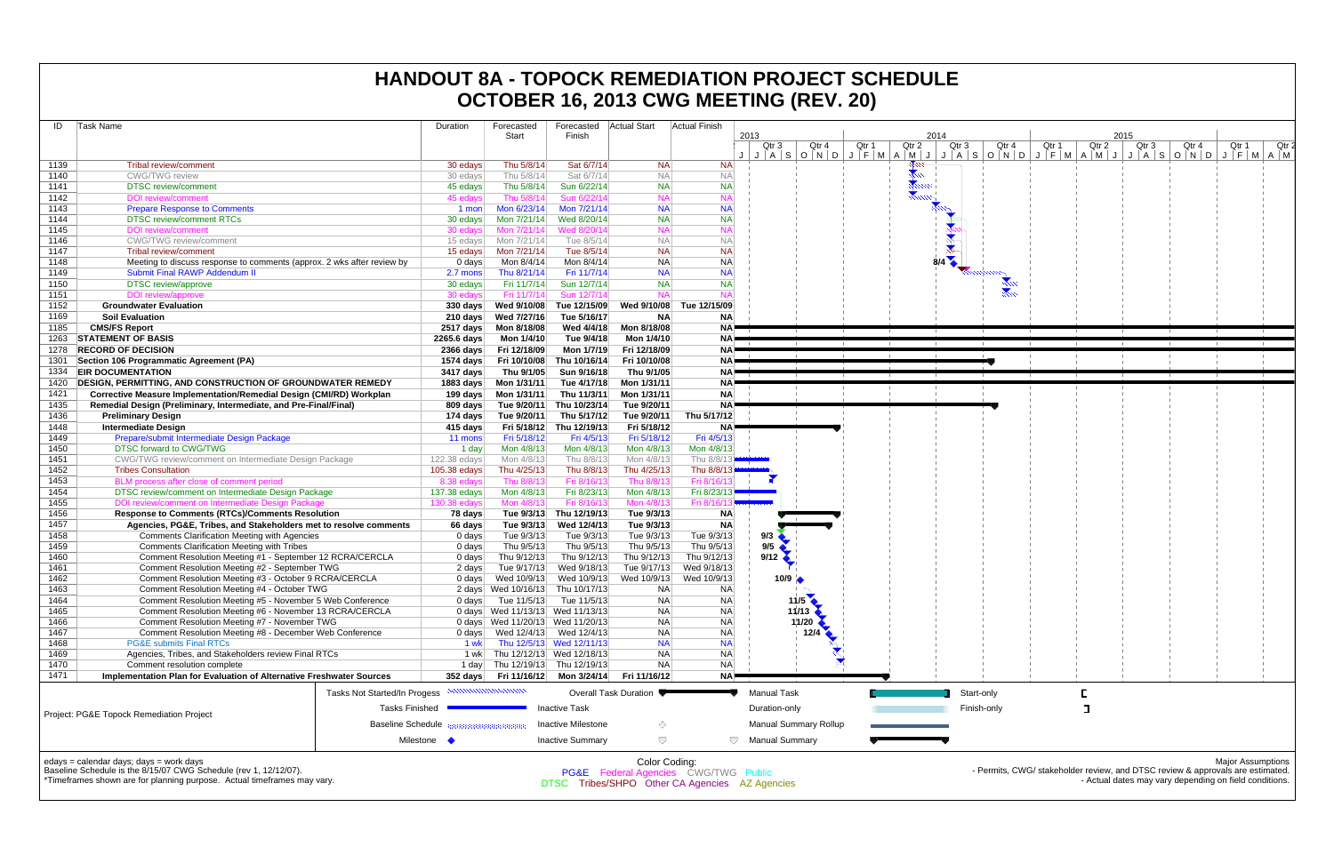| Task Name<br>ID                                                                | Duration                                                 |                          | Forecasted                | Forecasted                       | Actual Start              | <b>Actual Finish</b>                 |                                                                                                     |                        |       |                                         |
|--------------------------------------------------------------------------------|----------------------------------------------------------|--------------------------|---------------------------|----------------------------------|---------------------------|--------------------------------------|-----------------------------------------------------------------------------------------------------|------------------------|-------|-----------------------------------------|
|                                                                                |                                                          |                          | Start                     | Finish                           |                           |                                      | 2013<br>Qtr 3<br>Qtr 4<br>Qtr 1                                                                     | 2014<br>Qtr 2<br>Qtr 3 | Qtr 4 | 2015<br>Qtr 1<br>Qtr 2                  |
|                                                                                |                                                          |                          |                           |                                  |                           |                                      | $J   A   S   O   N   D   J   F   M   A   M   J   J   A   S   O   N   D   J   F   M   A   M   J   J$ |                        |       |                                         |
| 1139<br><b>Tribal review/comment</b>                                           |                                                          | 30 edays                 | Thu 5/8/14                | Sat 6/7/14                       | <b>NA</b>                 | <b>NA</b>                            |                                                                                                     |                        |       |                                         |
| 1140<br><b>CWG/TWG</b> review                                                  |                                                          | 30 edays                 | Thu 5/8/14                | Sat 6/7/14                       | <b>NA</b>                 | <b>NA</b>                            |                                                                                                     | $rac{1}{2}$            |       |                                         |
| 1141<br><b>DTSC</b> review/comment                                             |                                                          | 45 edays                 | Thu 5/8/14                | Sun 6/22/14                      | <b>NA</b>                 | <b>NA</b>                            |                                                                                                     |                        |       |                                         |
| 1142<br><b>DOI</b> review/comment                                              |                                                          | 45 edays                 | Thu 5/8/14                | Sun 6/22/14                      | <b>NA</b>                 | <b>NA</b>                            |                                                                                                     |                        |       |                                         |
| 1143<br><b>Prepare Response to Comments</b>                                    |                                                          | 1 mon                    | Mon 6/23/14               | Mon 7/21/14                      | <b>NA</b>                 | <b>NA</b>                            |                                                                                                     |                        |       |                                         |
| 1144<br><b>DTSC review/comment RTCs</b>                                        |                                                          | 30 edays                 | Mon 7/21/14               | Wed 8/20/14                      | <b>NA</b>                 | <b>NA</b>                            |                                                                                                     |                        |       |                                         |
| 1145<br><b>DOI</b> review/comment                                              |                                                          | 30 edays                 | Mon 7/21/14               | Wed 8/20/14                      | <b>NA</b>                 | <b>NA</b>                            |                                                                                                     |                        |       |                                         |
| 1146<br><b>CWG/TWG</b> review/comment                                          |                                                          | 15 edays                 | Mon 7/21/14               | Tue 8/5/14                       | <b>NA</b>                 | <b>NA</b>                            |                                                                                                     |                        |       |                                         |
| 1147<br>Tribal review/comment                                                  |                                                          | 15 edays                 | Mon 7/21/14               | Tue 8/5/14                       | <b>NA</b>                 | <b>NA</b>                            |                                                                                                     |                        |       |                                         |
| 1148<br>Meeting to discuss response to comments (approx. 2 wks after review by |                                                          | 0 days                   | Mon 8/4/14                | Mon 8/4/14                       | <b>NA</b>                 | <b>NA</b>                            |                                                                                                     |                        |       |                                         |
| 1149<br><b>Submit Final RAWP Addendum II</b>                                   |                                                          | 2.7 mons                 | Thu 8/21/14               | Fri 11/7/14                      | <b>NA</b>                 | <b>NA</b>                            |                                                                                                     |                        |       |                                         |
| 1150<br>DTSC review/approve                                                    |                                                          | 30 edays                 | Fri 11/7/14               | Sun 12/7/14                      | <b>NA</b>                 | <b>NA</b><br><b>NA</b>               |                                                                                                     |                        |       |                                         |
| 1151<br>DOI review/approve<br><b>Groundwater Evaluation</b>                    |                                                          | 30 edays                 | Fri 11/7/14               | Sun 12/7/14                      | <b>NA</b>                 |                                      |                                                                                                     |                        |       |                                         |
| 1152<br>1169                                                                   |                                                          | 330 days                 | Wed 9/10/08               | Tue 12/15/09                     | Wed 9/10/08               | Tue 12/15/09                         |                                                                                                     |                        |       |                                         |
| <b>Soil Evaluation</b><br>1185                                                 |                                                          | 210 days                 | Wed 7/27/16               | Tue 5/16/17                      | <b>NA</b>                 | <b>NA</b><br><b>NA</b>               |                                                                                                     |                        |       |                                         |
| <b>CMS/FS Report</b><br><b>STATEMENT OF BASIS</b><br>1263                      |                                                          | 2517 days<br>2265.6 days | Mon 8/18/08<br>Mon 1/4/10 | Wed 4/4/18<br>Tue 9/4/18         | Mon 8/18/08<br>Mon 1/4/10 | <b>NA</b>                            |                                                                                                     |                        |       |                                         |
| 1278<br><b>RECORD OF DECISION</b>                                              |                                                          | 2366 days                | Fri 12/18/09              | Mon 1/7/19                       | Fri 12/18/09              | NA!                                  |                                                                                                     |                        |       |                                         |
| Section 106 Programmatic Agreement (PA)<br>1301                                |                                                          | 1574 days                | Fri 10/10/08              | Thu 10/16/14                     | Fri 10/10/08              | NA!                                  |                                                                                                     |                        |       |                                         |
| <b>EIR DOCUMENTATION</b><br>1334                                               |                                                          | 3417 days                | Thu 9/1/05                | Sun 9/16/18                      | Thu 9/1/05                | NA <sup>P</sup>                      |                                                                                                     |                        |       |                                         |
| <b>DESIGN. PERMITTING. AND CONSTRUCTION OF GROUNDWATER REMEDY</b><br>1420      |                                                          | 1883 days                | Mon 1/31/11               | Tue 4/17/18                      | Mon 1/31/11               | NA <sup>P</sup>                      |                                                                                                     |                        |       |                                         |
| 1421<br>Corrective Measure Implementation/Remedial Design (CMI/RD) Workplan    |                                                          | 199 days                 | Mon 1/31/11               | Thu 11/3/11                      | Mon 1/31/11               | <b>NA</b>                            |                                                                                                     |                        |       |                                         |
| 1435<br>Remedial Design (Preliminary, Intermediate, and Pre-Final/Final)       |                                                          | 809 days                 | Tue 9/20/11               | Thu 10/23/14                     | Tue 9/20/11               | NA <sup></sup>                       |                                                                                                     |                        |       |                                         |
| 1436<br><b>Preliminary Design</b>                                              |                                                          | 174 days                 | Tue 9/20/11               | Thu 5/17/12                      | Tue 9/20/11               | Thu 5/17/12                          |                                                                                                     |                        |       |                                         |
| 1448<br><b>Intermediate Design</b>                                             |                                                          | 415 days                 | Fri 5/18/12               | Thu 12/19/13                     | Fri 5/18/12               | NA!                                  |                                                                                                     |                        |       |                                         |
| 1449<br>Prepare/submit Intermediate Design Package                             |                                                          | 11 mons                  | Fri 5/18/12               | Fri 4/5/13                       | Fri 5/18/12               | Fri 4/5/13                           |                                                                                                     |                        |       |                                         |
| 1450<br>DTSC forward to CWG/TWG                                                |                                                          | 1 day                    | Mon 4/8/13                | Mon 4/8/13                       | Mon 4/8/13                | Mon 4/8/13                           |                                                                                                     |                        |       |                                         |
| 1451<br>CWG/TWG review/comment on Intermediate Design Package                  |                                                          | 122.38 edays             | Mon 4/8/13                | Thu 8/8/13                       | Mon 4/8/13                | Thu 8/8/1                            |                                                                                                     |                        |       |                                         |
| 1452<br><b>Tribes Consultation</b>                                             |                                                          | 105.38 edays             | Thu 4/25/13               | Thu 8/8/13                       | Thu 4/25/13               | Thu 8/8/13                           |                                                                                                     |                        |       |                                         |
| 1453<br>BLM process after close of comment period                              |                                                          | 8.38 edays               | Thu 8/8/13                | Fri 8/16/13                      | Thu 8/8/13                | Fri 8/16/                            |                                                                                                     |                        |       |                                         |
| 1454<br>DTSC review/comment on Intermediate Design Package                     |                                                          | 137.38 edays             | Mon 4/8/13                | Fri 8/23/13                      | Mon 4/8/13                | Fri 8/23/13                          |                                                                                                     |                        |       |                                         |
| 1455<br>DOI review/comment on Intermediate Design Package                      |                                                          | 130.38 edays             | Mon 4/8/13                | Fri 8/16/13                      | Mon 4/8/13                | Fri 8/16/                            |                                                                                                     |                        |       |                                         |
| 1456<br><b>Response to Comments (RTCs)/Comments Resolution</b>                 |                                                          | 78 days                  | Tue 9/3/13                | Thu 12/19/13                     | Tue 9/3/13                | <b>NA</b>                            |                                                                                                     |                        |       |                                         |
| 1457<br>Agencies, PG&E, Tribes, and Stakeholders met to resolve comments       |                                                          | 66 days                  | Tue 9/3/13                | Wed 12/4/13                      | Tue 9/3/13                | <b>NA</b>                            |                                                                                                     |                        |       |                                         |
| 1458<br><b>Comments Clarification Meeting with Agencies</b>                    |                                                          | 0 days                   | Tue 9/3/13                | Tue 9/3/13                       | Tue 9/3/13                | Tue 9/3/13                           | 9/3                                                                                                 |                        |       |                                         |
| 1459<br><b>Comments Clarification Meeting with Tribes</b>                      |                                                          | 0 days                   | Thu 9/5/13                | Thu 9/5/13                       | Thu 9/5/13                | Thu 9/5/13                           | 9/5                                                                                                 |                        |       |                                         |
| 1460<br>Comment Resolution Meeting #1 - September 12 RCRA/CERCLA               |                                                          | 0 days                   | Thu 9/12/13               | Thu 9/12/13                      | Thu 9/12/13               | Thu 9/12/13                          | 9/12                                                                                                |                        |       |                                         |
| Comment Resolution Meeting #2 - September TWG<br>1461                          |                                                          | 2 days                   | Tue 9/17/13               | Wed 9/18/13                      | Tue 9/17/13               | Wed 9/18/13                          |                                                                                                     |                        |       |                                         |
| 1462<br>Comment Resolution Meeting #3 - October 9 RCRA/CERCLA                  |                                                          | 0 days                   | Wed 10/9/13               | Wed 10/9/13                      | Wed 10/9/13               | Wed 10/9/13                          | 10/9                                                                                                |                        |       |                                         |
| Comment Resolution Meeting #4 - October TWG<br>1463                            |                                                          |                          | 2 days Wed 10/16/13       | Thu 10/17/13                     | <b>NA</b>                 | NA                                   |                                                                                                     |                        |       |                                         |
| Comment Resolution Meeting #5 - November 5 Web Conference<br>1464              |                                                          | $0$ days                 | Tue 11/5/13               | Tue 11/5/13                      | <b>NA</b>                 | <b>NA</b>                            | 11/5                                                                                                |                        |       |                                         |
| 1465<br>Comment Resolution Meeting #6 - November 13 RCRA/CERCLA                |                                                          |                          |                           | 0 days Wed 11/13/13 Wed 11/13/13 | <b>NA</b>                 | <b>NA</b>                            | $11/13$ $\triangle$                                                                                 |                        |       |                                         |
| 1466<br>Comment Resolution Meeting #7 - November TWG                           |                                                          |                          |                           | 0 days Wed 11/20/13 Wed 11/20/13 | <b>NA</b>                 | <b>NA</b>                            | 11/20                                                                                               |                        |       |                                         |
| Comment Resolution Meeting #8 - December Web Conference<br>1467                |                                                          |                          |                           |                                  | <b>NA</b>                 | <b>NA</b>                            | 12/4                                                                                                |                        |       |                                         |
| 1468<br><b>PG&amp;E submits Final RTCs</b>                                     |                                                          | 1 wk                     |                           | Thu 12/5/13 Wed 12/11/13         | <b>NA</b>                 | <b>NA</b>                            |                                                                                                     |                        |       |                                         |
| 1469<br>Agencies, Tribes, and Stakeholders review Final RTCs                   |                                                          |                          |                           | 1 wk Thu 12/12/13 Wed 12/18/13   | <b>NA</b>                 | <b>NA</b>                            |                                                                                                     |                        |       |                                         |
| 1470<br>Comment resolution complete                                            |                                                          |                          |                           | 1 day Thu 12/19/13 Thu 12/19/13  | <b>NA</b>                 | <b>NA</b>                            |                                                                                                     |                        |       |                                         |
| 1471<br>Implementation Plan for Evaluation of Alternative Freshwater Sources   |                                                          | 352 days                 | Fri 11/16/12              | Mon 3/24/14                      | Fri 11/16/12              | NA <sup>P</sup>                      |                                                                                                     |                        |       |                                         |
|                                                                                | Tasks Not Started/In Progess <b>NUMILION INTERNATION</b> |                          |                           |                                  | Overall Task Duration     |                                      | <b>Manual Task</b>                                                                                  | Start-only             |       | Е                                       |
|                                                                                | <b>Tasks Finished</b>                                    |                          |                           | Inactive Task                    |                           |                                      | Duration-only                                                                                       | Finish-only            |       | ᄀ                                       |
| Project: PG&E Topock Remediation Project                                       |                                                          |                          |                           |                                  |                           |                                      |                                                                                                     |                        |       |                                         |
|                                                                                | <b>Baseline Schedule</b>                                 |                          |                           | <b>Inactive Milestone</b>        | ◇                         |                                      | <b>Manual Summary Rollup</b>                                                                        |                        |       |                                         |
|                                                                                | Milestone $\blacklozenge$                                |                          |                           | <b>Inactive Summary</b>          | $\bigtriangledown$        | $\bigtriangledown$                   | <b>Manual Summary</b>                                                                               |                        |       |                                         |
|                                                                                |                                                          |                          |                           |                                  |                           |                                      |                                                                                                     |                        |       |                                         |
| edays = calendar days; days = work days                                        |                                                          |                          |                           |                                  | Color Coding:             |                                      |                                                                                                     |                        |       |                                         |
| Baseline Schedule is the 8/15/07 CWG Schedule (rev 1, 12/12/07).               |                                                          |                          |                           |                                  |                           | PG&E Federal Agencies CWG/TWG Public |                                                                                                     |                        |       | - Permits, CWG/ stakeholder review, and |
| *Timeframes shown are for planning purpose Actual timeframes may vary          |                                                          |                          |                           |                                  |                           |                                      |                                                                                                     |                        |       | Actual datas                            |

Timeframes shown are for planning purpose. Actual timeframes may vary.

# **HANDOUT 8A - TOPOCK REMEDIATION PROJECT SCHEDULE OCTOBER 16, 2013 CWG MEETING (REV. 20)**



DTSC Tribes/SHPO Other CA Agencies AZ Agencies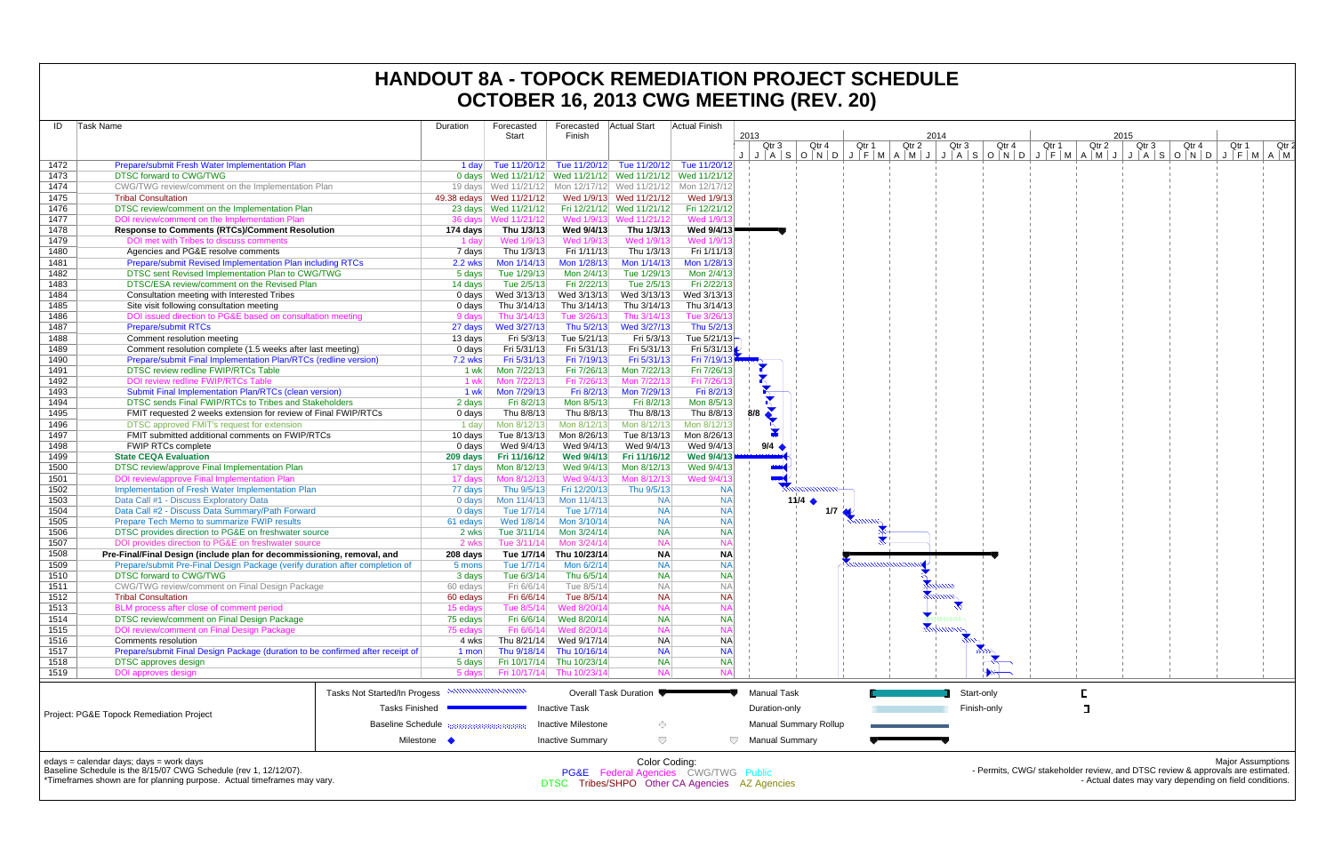| ID           | Task Name                                                                                                      | Duration           | Forecasted                | Forecasted<br>Finish                              | <b>Actual Start</b>                                         | Actual Finish          | 2013                                        |                                                                       |       |       | 2014  |             |       |       |       | 2015  |       |       |
|--------------|----------------------------------------------------------------------------------------------------------------|--------------------|---------------------------|---------------------------------------------------|-------------------------------------------------------------|------------------------|---------------------------------------------|-----------------------------------------------------------------------|-------|-------|-------|-------------|-------|-------|-------|-------|-------|-------|
|              |                                                                                                                |                    | Start                     |                                                   |                                                             |                        | Qtr 3                                       | Qtr 4                                                                 | Qtr 1 | Qtr 2 | Qtr 3 |             | Qtr 4 | Qtr 1 | Qtr 2 | Qtr 3 | Qtr 4 | Qtr 1 |
| 1472         | Prepare/submit Fresh Water Implementation Plan                                                                 |                    |                           |                                                   | 1 day Tue 11/20/12 Tue 11/20/12 Tue 11/20/12 Tue 11/20/12   |                        |                                             | J A S O N D J F M A M J J A S O N D J F M A M J J A S O N D J F M A M |       |       |       |             |       |       |       |       |       |       |
| 1473         | <b>DTSC forward to CWG/TWG</b>                                                                                 |                    |                           |                                                   | 0 days Wed 11/21/12 Wed 11/21/12 Wed 11/21/12 Wed 11/21/12  |                        |                                             |                                                                       |       |       |       |             |       |       |       |       |       |       |
| 1474         | CWG/TWG review/comment on the Implementation Plan                                                              |                    |                           |                                                   | 19 days Wed 11/21/12 Mon 12/17/12 Wed 11/21/12 Mon 12/17/12 |                        |                                             |                                                                       |       |       |       |             |       |       |       |       |       |       |
| 1475         | <b>Tribal Consultation</b>                                                                                     |                    | 49.38 edays  Wed 11/21/12 |                                                   | Wed 1/9/13 Wed 11/21/12                                     | Wed 1/9/13             |                                             |                                                                       |       |       |       |             |       |       |       |       |       |       |
| 1476         | DTSC review/comment on the Implementation Plan                                                                 |                    | 23 days  Wed 11/21/12     |                                                   | Fri 12/21/12 Wed 11/21/12                                   | Fri 12/21/12           |                                             |                                                                       |       |       |       |             |       |       |       |       |       |       |
| 1477         | DOI review/comment on the Implementation Plan                                                                  |                    | 36 days Wed 11/21/12      |                                                   | Wed 1/9/13 Wed 11/21/12                                     | Wed 1/9/1              |                                             |                                                                       |       |       |       |             |       |       |       |       |       |       |
| 1478         | <b>Response to Comments (RTCs)/Comment Resolution</b>                                                          | 174 days           | Thu 1/3/13                | Wed 9/4/13                                        | Thu 1/3/13                                                  | Wed 9/4/13             |                                             |                                                                       |       |       |       |             |       |       |       |       |       |       |
| 1479         | DOI met with Tribes to discuss comments                                                                        | 1 day              | Wed 1/9/13                | Wed 1/9/13                                        | Wed 1/9/13                                                  | <b>Wed 1/9</b>         |                                             |                                                                       |       |       |       |             |       |       |       |       |       |       |
| 1480         | Agencies and PG&E resolve comments                                                                             | 7 days             | Thu 1/3/13                | Fri 1/11/13                                       | Thu 1/3/13                                                  | Fri 1/11/13            |                                             |                                                                       |       |       |       |             |       |       |       |       |       |       |
| 1481         | Prepare/submit Revised Implementation Plan including RTCs                                                      | <b>2.2 wks</b>     | Mon $1/14/13$             | Mon 1/28/13                                       | Mon 1/14/13                                                 | Mon 1/28/13            |                                             |                                                                       |       |       |       |             |       |       |       |       |       |       |
| 1482         | DTSC sent Revised Implementation Plan to CWG/TWG                                                               | 5 days             | Tue 1/29/13               | Mon 2/4/13                                        | Tue 1/29/13                                                 | Mon 2/4/13             |                                             |                                                                       |       |       |       |             |       |       |       |       |       |       |
| 1483         | DTSC/ESA review/comment on the Revised Plan                                                                    | 14 days            | Tue 2/5/13                | Fri 2/22/13                                       | Tue 2/5/13                                                  | Fri 2/22/13            |                                             |                                                                       |       |       |       |             |       |       |       |       |       |       |
| 1484         | Consultation meeting with Interested Tribes                                                                    | 0 days             | Wed 3/13/13               | Wed 3/13/13                                       | Wed 3/13/13                                                 | Wed 3/13/13            |                                             |                                                                       |       |       |       |             |       |       |       |       |       |       |
| 1485         | Site visit following consultation meeting                                                                      | 0 days             | Thu 3/14/13               | Thu 3/14/13                                       | Thu 3/14/13                                                 | Thu 3/14/13            |                                             |                                                                       |       |       |       |             |       |       |       |       |       |       |
| 1486         | DOI issued direction to PG&E based on consultation meeting                                                     | 9 days             | Thu 3/14/13               | Tue 3/26/13                                       | Thu 3/14/13                                                 | Tue 3/26/1             |                                             |                                                                       |       |       |       |             |       |       |       |       |       |       |
| 1487         | <b>Prepare/submit RTCs</b>                                                                                     | 27 days            | Wed 3/27/13               | Thu 5/2/13                                        | Wed 3/27/13                                                 | Thu 5/2/13             |                                             |                                                                       |       |       |       |             |       |       |       |       |       |       |
| 1488         | Comment resolution meeting                                                                                     | 13 days            | Fri 5/3/13                | Tue 5/21/13                                       | Fri 5/3/13                                                  | Tue 5/21/13            |                                             |                                                                       |       |       |       |             |       |       |       |       |       |       |
| 1489         | Comment resolution complete (1.5 weeks after last meeting)                                                     | 0 days             | Fri 5/31/13               | Fri 5/31/13                                       | Fri 5/31/13                                                 | Fri 5/31/13            |                                             |                                                                       |       |       |       |             |       |       |       |       |       |       |
| 1490         | Prepare/submit Final Implementation Plan/RTCs (redline version)                                                | <b>7.2 wks</b>     | Fri 5/31/13               | Fri 7/19/13                                       | Fri 5/31/13                                                 | Fri 7/19/13            |                                             |                                                                       |       |       |       |             |       |       |       |       |       |       |
| 1491         | DTSC review redline FWIP/RTCs Table                                                                            | 1 wk               | Mon 7/22/13               | Fri 7/26/13                                       | Mon 7/22/13                                                 | Fri 7/26/13            |                                             |                                                                       |       |       |       |             |       |       |       |       |       |       |
| 1492         | DOI review redline FWIP/RTCs Table                                                                             | 1 wk               | Mon 7/22/13               | Fri 7/26/13                                       | Mon 7/22/13                                                 | Fri 7/26/1             |                                             |                                                                       |       |       |       |             |       |       |       |       |       |       |
| 1493         | Submit Final Implementation Plan/RTCs (clean version)                                                          | 1 wk               | Mon 7/29/13               | Fri 8/2/13                                        | Mon 7/29/13                                                 | Fri 8/2/13             | R                                           |                                                                       |       |       |       |             |       |       |       |       |       |       |
| 1494         | DTSC sends Final FWIP/RTCs to Tribes and Stakeholders                                                          | 2 days             | Fri 8/2/13                | Mon 8/5/13                                        | Fri 8/2/13                                                  | Mon 8/5/13             |                                             |                                                                       |       |       |       |             |       |       |       |       |       |       |
| 1495         | FMIT requested 2 weeks extension for review of Final FWIP/RTCs                                                 | $0$ days           | Thu 8/8/13                | Thu 8/8/13                                        | Thu 8/8/13                                                  | Thu 8/8/13             | 8/8                                         |                                                                       |       |       |       |             |       |       |       |       |       |       |
| 1496         | DTSC approved FMIT's request for extension                                                                     | 1 day              | Mon 8/12/13               | Mon 8/12/13                                       | Mon 8/12/13                                                 | Mon 8/12/13            |                                             |                                                                       |       |       |       |             |       |       |       |       |       |       |
| 1497         | FMIT submitted additional comments on FWIP/RTCs                                                                | $10 \text{ days}$  | Tue 8/13/13               | Mon 8/26/13                                       | Tue 8/13/13                                                 | Mon 8/26/13            |                                             |                                                                       |       |       |       |             |       |       |       |       |       |       |
| 1498         | <b>FWIP RTCs complete</b>                                                                                      | 0 days             | Wed 9/4/13                | Wed 9/4/13                                        | Wed 9/4/13                                                  | Wed 9/4/13             | 9/4                                         |                                                                       |       |       |       |             |       |       |       |       |       |       |
| 1499         | <b>State CEQA Evaluation</b>                                                                                   | 209 days           | Fri 11/16/12              | <b>Wed 9/4/13</b>                                 | Fri 11/16/12                                                | Wed 9/4/13             |                                             |                                                                       |       |       |       |             |       |       |       |       |       |       |
| 1500         | DTSC review/approve Final Implementation Plan                                                                  | 17 days            | Mon 8/12/13               | Wed 9/4/13                                        | Mon 8/12/13                                                 | Wed 9/4/13             |                                             |                                                                       |       |       |       |             |       |       |       |       |       |       |
| 1501         | DOI review/approve Final Implementation Plan                                                                   | 17 days            | Mon 8/12/13               | Wed 9/4/13                                        | Mon 8/12/13                                                 | Wed 9/4/1:             |                                             |                                                                       |       |       |       |             |       |       |       |       |       |       |
| 1502         | Implementation of Fresh Water Implementation Plan                                                              | 77 days            | Thu 9/5/13                | Fri 12/20/13                                      | Thu 9/5/13                                                  | <b>NA</b>              |                                             |                                                                       |       |       |       |             |       |       |       |       |       |       |
| 1503         | Data Call #1 - Discuss Exploratory Data                                                                        | 0 days             | Mon 11/4/13               | Mon 11/4/13                                       | <b>NA</b>                                                   | <b>NA</b>              |                                             | 11/4 $\triangle$                                                      |       |       |       |             |       |       |       |       |       |       |
| 1504         | Data Call #2 - Discuss Data Summary/Path Forward                                                               | 0 days             | Tue 1/7/14                | Tue 1/7/14                                        | <b>NA</b><br><b>NA</b>                                      | <b>NA</b><br><b>NA</b> |                                             | 1/7                                                                   |       |       |       |             |       |       |       |       |       |       |
| 1505         | Prepare Tech Memo to summarize FWIP results                                                                    | 61 edays           | Wed 1/8/14                | Mon 3/10/14                                       |                                                             |                        |                                             |                                                                       |       |       |       |             |       |       |       |       |       |       |
| 1506         | DTSC provides direction to PG&E on freshwater source<br>DOI provides direction to PG&E on freshwater source    | 2 wks              |                           | Tue 3/11/14 Mon 3/24/14<br>Mon 3/24/14            | <b>NA</b><br><b>NA</b>                                      | <b>NA</b><br><b>NA</b> |                                             |                                                                       |       |       |       |             |       |       |       |       |       |       |
| 1507<br>1508 | Pre-Final/Final Design (include plan for decommissioning, removal, and                                         | 2 wks              | Tue 3/11/14               | Tue 1/7/14 Thu 10/23/14                           | <b>NA</b>                                                   | <b>NA</b>              |                                             |                                                                       |       |       |       |             |       |       |       |       |       |       |
| 1509         |                                                                                                                | 208 days<br>5 mons | Tue 1/7/14                | Mon 6/2/14                                        | <b>NA</b>                                                   | <b>NA</b>              |                                             |                                                                       |       |       |       |             |       |       |       |       |       |       |
| 1510         | Prepare/submit Pre-Final Design Package (verify duration after completion of<br><b>DTSC forward to CWG/TWG</b> | 3 days             | Tue 6/3/14                | Thu 6/5/14                                        | <b>NA</b>                                                   | <b>NA</b>              |                                             |                                                                       |       |       |       |             |       |       |       |       |       |       |
| 1511         | <b>CWG/TWG review/comment on Final Design Package</b>                                                          | 60 edays           | Fri 6/6/14                | Tue 8/5/14                                        | <b>NA</b>                                                   | NА                     |                                             |                                                                       |       |       |       |             |       |       |       |       |       |       |
| 1512         | <b>Tribal Consultation</b>                                                                                     | 60 edays           | Fri 6/6/14                | Tue 8/5/14                                        | <b>NA</b>                                                   | <b>NA</b>              |                                             |                                                                       |       |       |       |             |       |       |       |       |       |       |
| 1513         | BLM process after close of comment period                                                                      | 15 edays           | Tue 8/5/14                | Wed 8/20/14                                       | <b>NA</b>                                                   | NΑ                     |                                             |                                                                       |       |       |       |             |       |       |       |       |       |       |
| 1514         | DTSC review/comment on Final Design Package                                                                    | 75 edays           | Fri 6/6/14                | Wed 8/20/14                                       | <b>NA</b>                                                   | <b>NA</b>              |                                             |                                                                       |       |       |       |             |       |       |       |       |       |       |
| 1515         | DOI review/comment on Final Design Package                                                                     | 75 edays           | Fri 6/6/14                | Wed 8/20/14                                       | <b>NA</b>                                                   | NΑ                     |                                             |                                                                       |       |       |       |             |       |       |       |       |       |       |
| 1516         | <b>Comments resolution</b>                                                                                     | 4 wks              | Thu 8/21/14               | Wed 9/17/14                                       | <b>NA</b>                                                   | <b>NA</b>              |                                             |                                                                       |       |       |       |             |       |       |       |       |       |       |
| 1517         | Prepare/submit Final Design Package (duration to be confirmed after receipt of                                 | 1 mon              |                           | Thu 9/18/14 Thu 10/16/14                          | <b>NA</b>                                                   | <b>NA</b>              |                                             |                                                                       |       |       |       |             |       |       |       |       |       |       |
| 1518         | <b>DTSC</b> approves design                                                                                    | 5 days             |                           | Fri 10/17/14 Thu 10/23/14                         | <b>NA</b>                                                   | <b>NA</b>              |                                             |                                                                       |       |       |       |             |       |       |       |       |       |       |
| 1519         | <b>DOI</b> approves design                                                                                     | 5 days             |                           | Fri 10/17/14 Thu 10/23/14                         | <b>NA</b>                                                   | <b>NA</b>              |                                             |                                                                       |       |       |       |             |       |       |       |       |       |       |
|              | Tasks Not Started/In Progess                                                                                   |                    | <u>mammunummu</u>         |                                                   | Overall Task Duration ♥                                     |                        | <b>Manual Task</b>                          |                                                                       |       |       |       | Start-only  |       |       |       |       |       |       |
|              |                                                                                                                |                    |                           |                                                   |                                                             |                        |                                             |                                                                       |       |       |       |             |       |       |       |       |       |       |
|              | <b>Tasks Finished</b><br>Project: PG&E Topock Remediation Project<br><b>Baseline Schedule</b>                  |                    |                           | <b>Inactive Task</b><br><b>Inactive Milestone</b> | ◇                                                           |                        | Duration-only                               | <b>Manual Summary Rollup</b>                                          |       |       |       | Finish-only |       |       |       |       |       |       |
|              |                                                                                                                | Milestone •        |                           | <b>Inactive Summary</b>                           | $\bigtriangledown$                                          |                        | <b>Manual Summary</b><br>$\bigtriangledown$ |                                                                       |       |       |       |             |       |       |       |       |       |       |
|              |                                                                                                                |                    |                           |                                                   |                                                             |                        |                                             |                                                                       |       |       |       |             |       |       |       |       |       |       |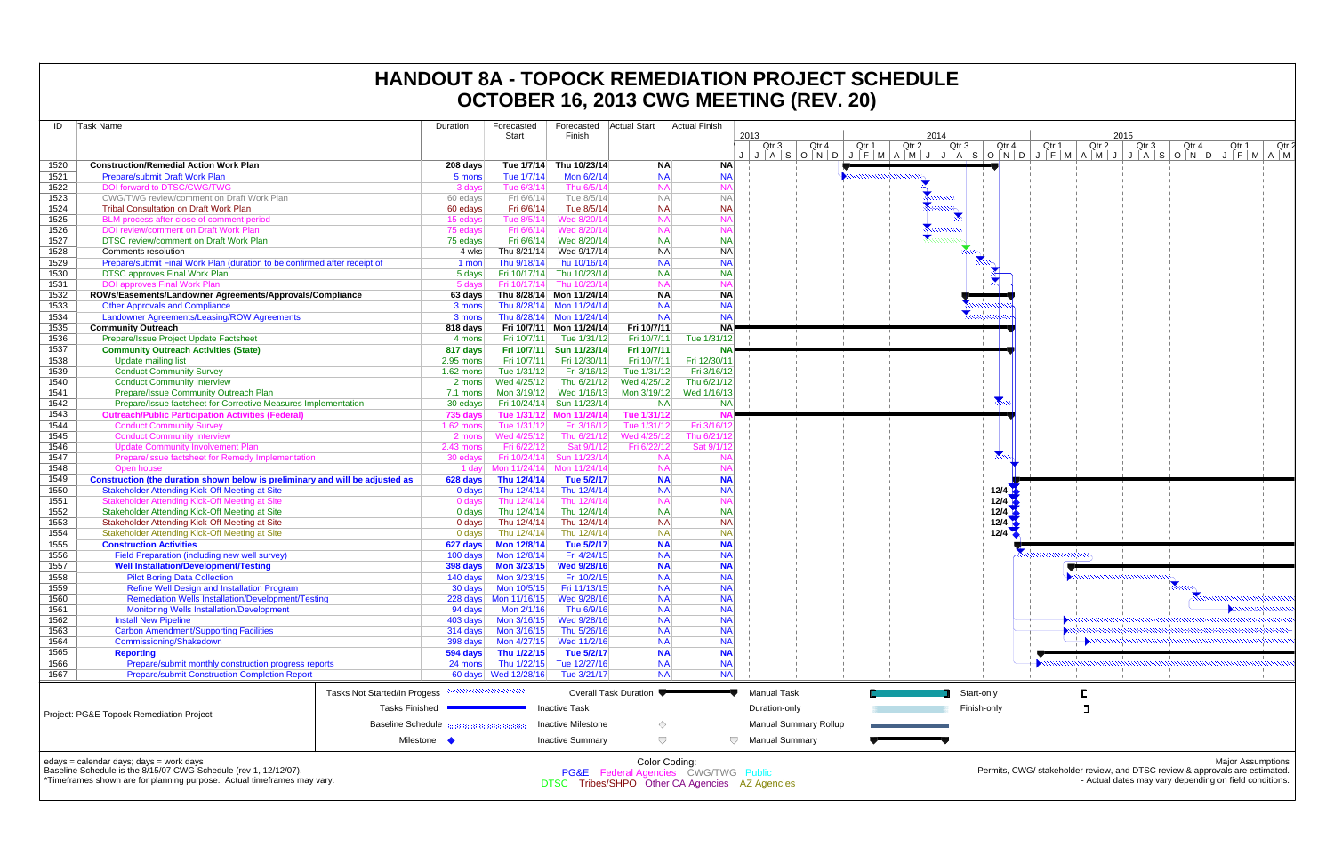| ID   | Task Name                                                                                                                                                                              | Duration    | Forecasted<br>Start        | Forecasted<br>Finish         | <b>Actual Start</b>    | <b>Actual Finish</b>                                                                   | 2013<br>2014<br>2015                                                 |
|------|----------------------------------------------------------------------------------------------------------------------------------------------------------------------------------------|-------------|----------------------------|------------------------------|------------------------|----------------------------------------------------------------------------------------|----------------------------------------------------------------------|
|      |                                                                                                                                                                                        |             |                            |                              |                        |                                                                                        | Qtr 4<br>Qtr 1<br>Qtr 2<br>Qtr 3<br>Qtr 4<br>Qtr 2<br>Qtr 3<br>Qtr 1 |
|      |                                                                                                                                                                                        |             |                            |                              |                        |                                                                                        | J J A S O N D J F M A M J J A S O N D J F M A M J J                  |
| 1520 | <b>Construction/Remedial Action Work Plan</b>                                                                                                                                          | 208 days    | Tue 1/7/14                 | Thu 10/23/14                 | <b>NA</b>              | <b>NA</b>                                                                              |                                                                      |
| 1521 | Prepare/submit Draft Work Plan                                                                                                                                                         | 5 mons      | Tue 1/7/14                 | Mon 6/2/14                   | <b>NA</b>              | <b>NA</b><br><b>NA</b>                                                                 |                                                                      |
| 1522 | DOI forward to DTSC/CWG/TWG                                                                                                                                                            | 3 days      | Tue 6/3/14                 | Thu 6/5/14                   | <b>NA</b>              |                                                                                        |                                                                      |
| 1523 | CWG/TWG review/comment on Draft Work Plan                                                                                                                                              | 60 edays    | Fri 6/6/14                 | Tue 8/5/14                   | <b>NA</b><br><b>NA</b> | <b>NA</b><br><b>NA</b>                                                                 |                                                                      |
| 1524 | <b>Tribal Consultation on Draft Work Plan</b>                                                                                                                                          | 60 edays    | Fri 6/6/14                 | Tue 8/5/14                   |                        |                                                                                        |                                                                      |
| 1525 | BLM process after close of comment period                                                                                                                                              | 15 edays    | Tue 8/5/14                 | Wed 8/20/14                  | <b>NA</b><br><b>NA</b> | N٨                                                                                     |                                                                      |
| 1526 | DOI review/comment on Draft Work Plan                                                                                                                                                  | 75 edays    | Fri 6/6/14                 | Wed 8/20/14                  |                        | <b>NA</b>                                                                              |                                                                      |
| 1527 | DTSC review/comment on Draft Work Plan<br>Comments resolution                                                                                                                          | 75 edays    | Fri 6/6/14                 | Wed 8/20/14<br>Wed 9/17/14   | <b>NA</b><br><b>NA</b> | <b>NA</b><br><b>NA</b>                                                                 |                                                                      |
| 1528 |                                                                                                                                                                                        | 4 wks       | Thu 8/21/14<br>Thu 9/18/14 | Thu 10/16/14                 | <b>NA</b>              | <b>NA</b>                                                                              |                                                                      |
| 1529 | Prepare/submit Final Work Plan (duration to be confirmed after receipt of                                                                                                              | 1 mon       |                            |                              | <b>NA</b>              | <b>NA</b>                                                                              |                                                                      |
| 1530 | <b>DTSC approves Final Work Plan</b>                                                                                                                                                   | 5 days      | Fri 10/17/14               | Thu 10/23/14<br>Thu 10/23/14 | <b>NA</b>              | N)                                                                                     |                                                                      |
| 1531 | <b>DOI approves Final Work Plan</b>                                                                                                                                                    | 5 days      | Fri 10/17/14               |                              |                        |                                                                                        |                                                                      |
| 1532 | ROWs/Easements/Landowner Agreements/Approvals/Compliance                                                                                                                               | 63 days     |                            | Thu 8/28/14 Mon 11/24/14     | <b>NA</b><br><b>NA</b> | <b>NA</b>                                                                              |                                                                      |
| 1533 | <b>Other Approvals and Compliance</b>                                                                                                                                                  | 3 mons      |                            | Thu 8/28/14 Mon 11/24/14     |                        | <b>NA</b>                                                                              |                                                                      |
| 1534 | Landowner Agreements/Leasing/ROW Agreements                                                                                                                                            | 3 mons      |                            | Thu 8/28/14 Mon 11/24/14     | <b>NA</b>              | <b>NA</b>                                                                              |                                                                      |
| 1535 | <b>Community Outreach</b>                                                                                                                                                              | 818 days    |                            | Fri 10/7/11 Mon 11/24/14     | Fri 10/7/11            | NA!                                                                                    |                                                                      |
| 1536 | Prepare/Issue Project Update Factsheet                                                                                                                                                 | 4 mons      | Fri 10/7/11                | Tue 1/31/12                  | Fri 10/7/11            | Tue 1/31/12                                                                            |                                                                      |
| 1537 | <b>Community Outreach Activities (State)</b>                                                                                                                                           | 817 days    | Fri 10/7/11                | Sun 11/23/14                 | Fri 10/7/11            | NA!                                                                                    |                                                                      |
| 1538 | <b>Update mailing list</b>                                                                                                                                                             | $2.95$ mons | Fri 10/7/11                | Fri 12/30/11                 | Fri 10/7/11            | Fri 12/30/11                                                                           |                                                                      |
| 1539 | <b>Conduct Community Survey</b>                                                                                                                                                        | 1.62 mons   | Tue 1/31/12                | Fri 3/16/12                  | Tue 1/31/12            | Fri 3/16/12                                                                            |                                                                      |
| 1540 | <b>Conduct Community Interview</b>                                                                                                                                                     | 2 mons      | Wed 4/25/12                | Thu 6/21/12                  | Wed 4/25/12            | Thu 6/21/12                                                                            |                                                                      |
| 1541 | Prepare/Issue Community Outreach Plan                                                                                                                                                  | 7.1 mons    | Mon 3/19/12                | Wed 1/16/13                  | Mon 3/19/12            | Wed 1/16/13                                                                            |                                                                      |
| 1542 | Prepare/Issue factsheet for Corrective Measures Implementation                                                                                                                         | 30 edays    | Fri 10/24/14               | Sun 11/23/14                 | <b>NA</b>              | <b>NA</b>                                                                              |                                                                      |
| 1543 | <b>Outreach/Public Participation Activities (Federal)</b>                                                                                                                              | 735 days    | Tue 1/31/12                | Mon 11/24/14                 | Tue 1/31/12            |                                                                                        |                                                                      |
| 1544 | <b>Conduct Community Survey</b>                                                                                                                                                        | 1.62 mons   | Tue 1/31/12                | Fri 3/16/12                  | Tue 1/31/12            | Fri 3/16/1                                                                             |                                                                      |
| 1545 | <b>Conduct Community Interview</b>                                                                                                                                                     | 2 mons      | Wed 4/25/12                | Thu 6/21/12                  | Wed 4/25/12            | Thu 6/21/                                                                              |                                                                      |
| 1546 | <b>Update Community Involvement Plan</b>                                                                                                                                               | 2.43 mons   | Fri 6/22/12                | Sat 9/1/12                   | Fri 6/22/12            | Sat 9/1/                                                                               |                                                                      |
| 1547 | Prepare/issue factsheet for Remedy Implementation                                                                                                                                      | 30 edays    | Fri 10/24/14               | Sun 11/23/14                 | <b>NA</b>              | N/                                                                                     |                                                                      |
| 1548 | Open house                                                                                                                                                                             | 1 day       | Mon 11/24/14               | Mon 11/24/14                 | <b>NA</b>              | <b>NA</b>                                                                              |                                                                      |
| 1549 | Construction (the duration shown below is preliminary and will be adjusted as                                                                                                          | 628 days    | Thu 12/4/14                | Tue 5/2/17                   | <b>NA</b>              | <b>NA</b>                                                                              |                                                                      |
| 1550 | <b>Stakeholder Attending Kick-Off Meeting at Site</b>                                                                                                                                  | 0 days      | Thu 12/4/14                | Thu 12/4/14                  | <b>NA</b>              | <b>NA</b>                                                                              | 12/4                                                                 |
| 1551 | Stakeholder Attending Kick-Off Meeting at Site                                                                                                                                         | 0 days      | Thu 12/4/14                | Thu 12/4/14                  | <b>NA</b>              | <b>NA</b>                                                                              | 12/4                                                                 |
| 1552 | Stakeholder Attending Kick-Off Meeting at Site                                                                                                                                         | 0 days      | Thu 12/4/14                | Thu 12/4/14                  | <b>NA</b>              | <b>NA</b>                                                                              | 12/4                                                                 |
| 1553 | Stakeholder Attending Kick-Off Meeting at Site                                                                                                                                         | 0 days      | Thu 12/4/14                | Thu 12/4/14                  | <b>NA</b>              | <b>NA</b>                                                                              | 12/4                                                                 |
| 1554 | Stakeholder Attending Kick-Off Meeting at Site                                                                                                                                         | $0$ days    | Thu 12/4/14                | Thu 12/4/14                  | <b>NA</b>              | <b>NA</b>                                                                              | 12/4                                                                 |
| 1555 | <b>Construction Activities</b>                                                                                                                                                         | 627 days    | Mon 12/8/14                | Tue 5/2/17                   | <b>NA</b>              | <b>NA</b>                                                                              |                                                                      |
| 1556 | Field Preparation (including new well survey)                                                                                                                                          | 100 days    | Mon 12/8/14                | Fri 4/24/15                  | <b>NA</b>              | <b>NA</b>                                                                              |                                                                      |
| 1557 | <b>Well Installation/Development/Testing</b>                                                                                                                                           | 398 days    | Mon 3/23/15                | <b>Wed 9/28/16</b>           | <b>NA</b>              | <b>NA</b>                                                                              |                                                                      |
| 1558 | <b>Pilot Boring Data Collection</b>                                                                                                                                                    | 140 days    | Mon 3/23/15                | Fri 10/2/15                  | <b>NA</b>              | <b>NA</b>                                                                              |                                                                      |
| 1559 | <b>Refine Well Design and Installation Program</b>                                                                                                                                     | 30 days     | Mon 10/5/15                | Fri 11/13/15                 | <b>NA</b>              | <b>NA</b>                                                                              |                                                                      |
| 1560 | <b>Remediation Wells Installation/Development/Testing</b>                                                                                                                              |             | 228 days Mon 11/16/15      | Wed 9/28/16                  | <b>NA</b>              | <b>NA</b>                                                                              |                                                                      |
| 1561 | <b>Monitoring Wells Installation/Development</b>                                                                                                                                       | 94 days     | Mon 2/1/16                 | Thu 6/9/16                   | <b>NA</b>              | <b>NA</b>                                                                              |                                                                      |
| 1562 | <b>Install New Pipeline</b>                                                                                                                                                            | 403 days    | Mon 3/16/15                | Wed 9/28/16                  | <b>NA</b>              | <b>NA</b>                                                                              |                                                                      |
| 1563 | <b>Carbon Amendment/Supporting Facilities</b>                                                                                                                                          | 314 days    | Mon 3/16/15                | Thu 5/26/16                  | <b>NA</b>              | <b>NA</b>                                                                              |                                                                      |
| 1564 | <b>Commissioning/Shakedown</b>                                                                                                                                                         | 398 days    | Mon 4/27/15                | Wed 11/2/16<br>Tue 5/2/17    | <b>NA</b>              | <b>NA</b>                                                                              |                                                                      |
| 1565 | <b>Reporting</b>                                                                                                                                                                       | 594 days    | Thu 1/22/15                |                              | <b>NA</b>              | <b>NA</b>                                                                              |                                                                      |
| 1566 | Prepare/submit monthly construction progress reports<br><b>Prepare/submit Construction Completion Report</b>                                                                           | 24 mons     | Thu 1/22/15                | Tue 12/27/16                 | <b>NA</b>              | <b>NA</b><br><b>NA</b>                                                                 |                                                                      |
| 1567 |                                                                                                                                                                                        |             | 60 days Wed 12/28/16       | Tue 3/21/17                  | <b>NA</b>              |                                                                                        |                                                                      |
|      | Tasks Not Started/In Progess                                                                                                                                                           |             |                            |                              | Overall Task Duration  |                                                                                        | Г<br><b>Manual Task</b><br>Start-only                                |
|      |                                                                                                                                                                                        |             |                            |                              |                        |                                                                                        |                                                                      |
|      | <b>Tasks Finished</b><br>Project: PG&E Topock Remediation Project                                                                                                                      |             |                            | <b>Inactive Task</b>         |                        |                                                                                        | П<br>Duration-only<br>Finish-only                                    |
|      | <b>Baseline Schedule</b>                                                                                                                                                               |             |                            | <b>Inactive Milestone</b>    | ♦                      |                                                                                        | <b>Manual Summary Rollup</b>                                         |
|      |                                                                                                                                                                                        |             |                            |                              |                        |                                                                                        |                                                                      |
|      |                                                                                                                                                                                        | Milestone • |                            | <b>Inactive Summary</b>      | $\bigtriangledown$     | $\bigtriangledown$                                                                     | <b>Manual Summary</b>                                                |
|      | edays = calendar days; days = work days<br>Baseline Schedule is the 8/15/07 CWG Schedule (rev 1, 12/12/07).<br>*Timeframes shown are for planning purpose. Actual timeframes may vary. |             |                            |                              | Color Coding:          | PG&E Federal Agencies CWG/TWG Public<br>DTSC Tribes/SHPO Other CA Agencies AZ Agencies | - Permits, CWG/ stakeholder review, and<br>- Actual dates            |